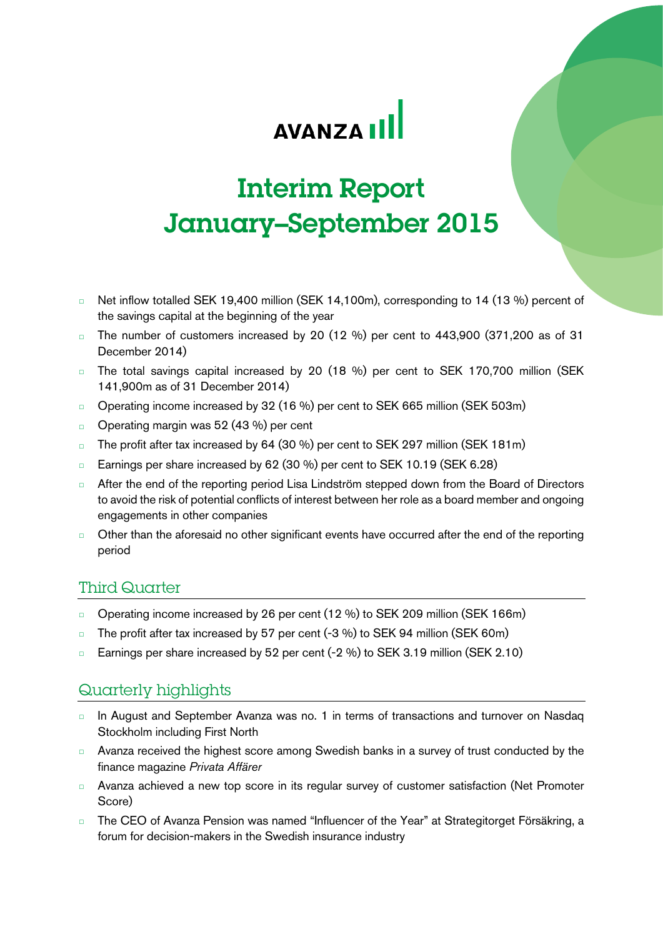# **AVANZA II**

# Interim Report January–September 2015

- □ Net inflow totalled SEK 19,400 million (SEK 14,100m), corresponding to 14 (13 %) percent of the savings capital at the beginning of the year
- $\Box$  The number of customers increased by 20 (12 %) per cent to 443,900 (371,200 as of 31 December 2014)
- □ The total savings capital increased by 20 (18 %) per cent to SEK 170,700 million (SEK 141,900m as of 31 December 2014)
- □ Operating income increased by 32 (16 %) per cent to SEK 665 million (SEK 503m)
- □ Operating margin was 52 (43 %) per cent
- □ The profit after tax increased by 64 (30 %) per cent to SEK 297 million (SEK 181m)
- □ Earnings per share increased by 62 (30 %) per cent to SEK 10.19 (SEK 6.28)
- □ After the end of the reporting period Lisa Lindström stepped down from the Board of Directors to avoid the risk of potential conflicts of interest between her role as a board member and ongoing engagements in other companies
- □ Other than the aforesaid no other significant events have occurred after the end of the reporting period

# Third Quarter

- □ Operating income increased by 26 per cent (12 %) to SEK 209 million (SEK 166m)
- □ The profit after tax increased by 57 per cent (-3 %) to SEK 94 million (SEK 60m)
- □ Earnings per share increased by 52 per cent (-2 %) to SEK 3.19 million (SEK 2.10)

# Quarterly highlights

- □ In August and September Avanza was no. 1 in terms of transactions and turnover on Nasdaq Stockholm including First North
- □ Avanza received the highest score among Swedish banks in a survey of trust conducted by the finance magazine *Privata Affärer*
- □ Avanza achieved a new top score in its regular survey of customer satisfaction (Net Promoter Score)
- The CEO of Avanza Pension was named "Influencer of the Year" at Strategitorget Försäkring, a forum for decision-makers in the Swedish insurance industry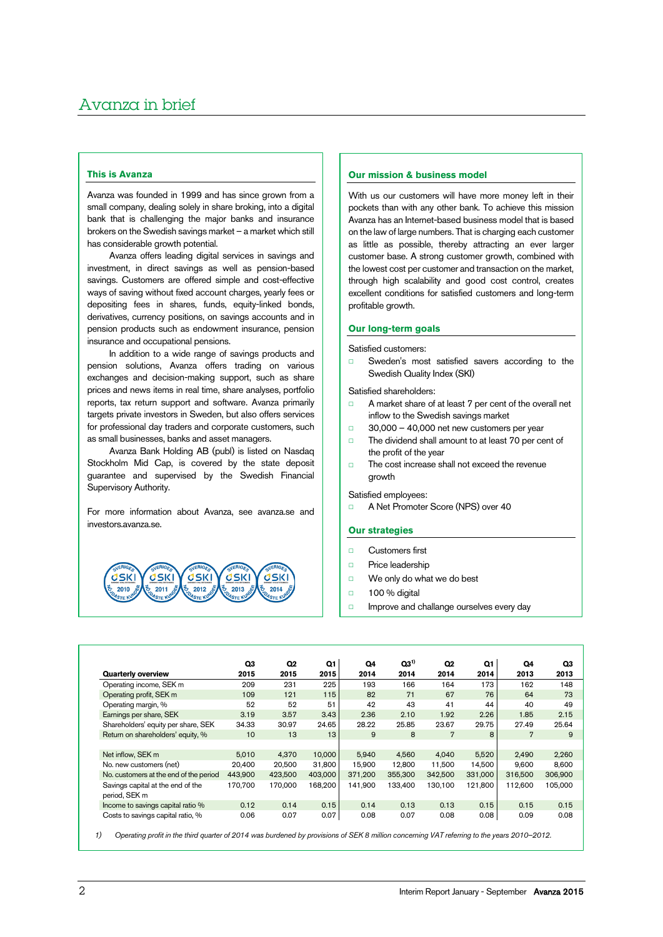# **This is Avanza**

Avanza was founded in 1999 and has since grown from a small company, dealing solely in share broking, into a digital bank that is challenging the major banks and insurance brokers on the Swedish savings market – a market which still has considerable growth potential.

Avanza offers leading digital services in savings and investment, in direct savings as well as pension-based savings. Customers are offered simple and cost-effective ways of saving without fixed account charges, yearly fees or depositing fees in shares, funds, equity-linked bonds, derivatives, currency positions, on savings accounts and in pension products such as endowment insurance, pension insurance and occupational pensions.

In addition to a wide range of savings products and pension solutions, Avanza offers trading on various exchanges and decision-making support, such as share prices and news items in real time, share analyses, portfolio reports, tax return support and software. Avanza primarily targets private investors in Sweden, but also offers services for professional day traders and corporate customers, such as small businesses, banks and asset managers.

Avanza Bank Holding AB (publ) is listed on Nasdaq Stockholm Mid Cap, is covered by the state deposit guarantee and supervised by the Swedish Financial Supervisory Authority.

For more information about Avanza, see avanza.se and investors.avanza.se.



### **Our mission & business model**

With us our customers will have more money left in their pockets than with any other bank. To achieve this mission Avanza has an Internet-based business model that is based on the law of large numbers. That is charging each customer as little as possible, thereby attracting an ever larger customer base. A strong customer growth, combined with the lowest cost per customer and transaction on the market, through high scalability and good cost control, creates excellent conditions for satisfied customers and long-term profitable growth.

# **Our long-term goals**

Satisfied customers:

□ Sweden's most satisfied savers according to the Swedish Quality Index (SKI)

Satisfied shareholders:

- □ A market share of at least 7 per cent of the overall net inflow to the Swedish savings market
- $\Box$  30,000 40,000 net new customers per year
- □ The dividend shall amount to at least 70 per cent of the profit of the year
- □ The cost increase shall not exceed the revenue growth

# Satisfied employees:

□ A Net Promoter Score (NPS) over 40

# **Our strategies**

- □ Customers first
- □ Price leadership
- □ We only do what we do best
- □ 100 % digital

Ī

□ Improve and challange ourselves every day

|                                        | Q3      | Q <sub>2</sub> | Q1      | Q4      | $Q3^{1}$ | Q <sub>2</sub> | Q1      | Q4      | Q3      |
|----------------------------------------|---------|----------------|---------|---------|----------|----------------|---------|---------|---------|
| <b>Quarterly overview</b>              | 2015    | 2015           | 2015    | 2014    | 2014     | 2014           | 2014    | 2013    | 2013    |
| Operating income, SEK m                | 209     | 231            | 225     | 193     | 166      | 164            | 173     | 162     | 148     |
| Operating profit, SEK m                | 109     | 121            | 115     | 82      | 71       | 67             | 76      | 64      | 73      |
| Operating margin, %                    | 52      | 52             | 51      | 42      | 43       | 41             | 44      | 40      | 49      |
| Earnings per share, SEK                | 3.19    | 3.57           | 3.43    | 2.36    | 2.10     | 1.92           | 2.26    | 1.85    | 2.15    |
| Shareholders' equity per share, SEK    | 34.33   | 30.97          | 24.65   | 28.22   | 25.85    | 23.67          | 29.75   | 27.49   | 25.64   |
| Return on shareholders' equity, %      | 10      | 13             | 13      | 9       | 8        | 7              | 8       | 7       | 9       |
|                                        |         |                |         |         |          |                |         |         |         |
| Net inflow. SEK m                      | 5.010   | 4.370          | 10,000  | 5.940   | 4.560    | 4.040          | 5.520   | 2.490   | 2,260   |
| No. new customers (net)                | 20.400  | 20,500         | 31.800  | 15.900  | 12,800   | 11.500         | 14.500  | 9.600   | 8.600   |
| No. customers at the end of the period | 443.900 | 423,500        | 403,000 | 371.200 | 355,300  | 342.500        | 331,000 | 316,500 | 306,900 |
| Savings capital at the end of the      | 170,700 | 170,000        | 168,200 | 141,900 | 133,400  | 130.100        | 121,800 | 112,600 | 105,000 |
| period, SEK m                          |         |                |         |         |          |                |         |         |         |
| Income to savings capital ratio %      | 0.12    | 0.14           | 0.15    | 0.14    | 0.13     | 0.13           | 0.15    | 0.15    | 0.15    |
| Costs to savings capital ratio, %      | 0.06    | 0.07           | 0.07    | 0.08    | 0.07     | 0.08           | 0.08    | 0.09    | 0.08    |

*1) Operating profit in the third quarter of 2014 was burdened by provisions of SEK 8 million concerning VAT referring to the years 2010–2012.*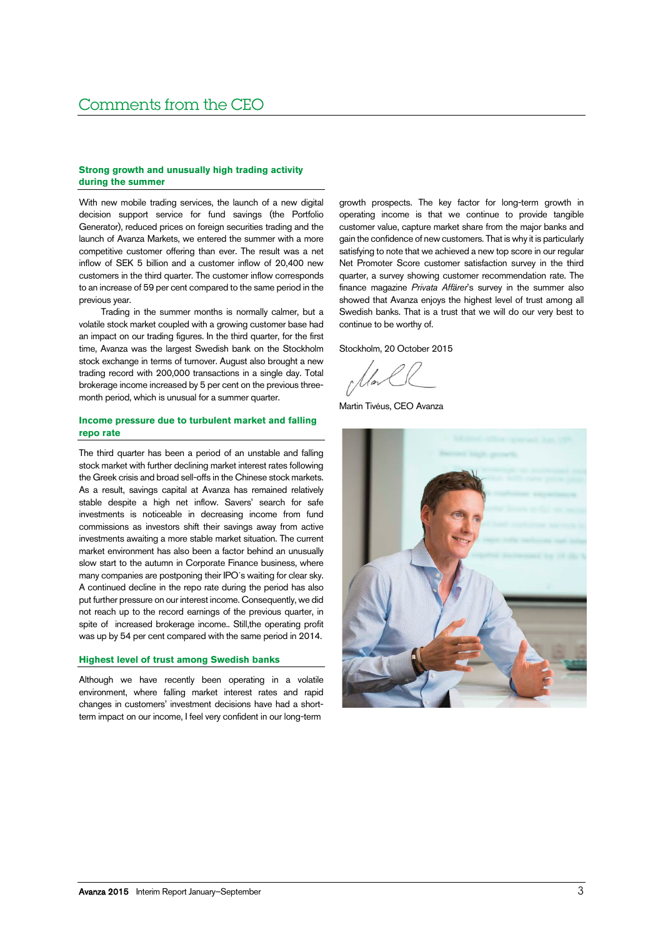# **Strong growth and unusually high trading activity during the summer**

With new mobile trading services, the launch of a new digital decision support service for fund savings (the Portfolio Generator), reduced prices on foreign securities trading and the launch of Avanza Markets, we entered the summer with a more competitive customer offering than ever. The result was a net inflow of SEK 5 billion and a customer inflow of 20,400 new customers in the third quarter. The customer inflow corresponds to an increase of 59 per cent compared to the same period in the previous year.

Trading in the summer months is normally calmer, but a volatile stock market coupled with a growing customer base had an impact on our trading figures. In the third quarter, for the first time, Avanza was the largest Swedish bank on the Stockholm stock exchange in terms of turnover. August also brought a new trading record with 200,000 transactions in a single day. Total brokerage income increased by 5 per cent on the previous threemonth period, which is unusual for a summer quarter.

# **Income pressure due to turbulent market and falling repo rate**

The third quarter has been a period of an unstable and falling stock market with further declining market interest rates following the Greek crisis and broad sell-offs in the Chinese stock markets. As a result, savings capital at Avanza has remained relatively stable despite a high net inflow. Savers' search for safe investments is noticeable in decreasing income from fund commissions as investors shift their savings away from active investments awaiting a more stable market situation. The current market environment has also been a factor behind an unusually slow start to the autumn in Corporate Finance business, where many companies are postponing their IPO´s waiting for clear sky. A continued decline in the repo rate during the period has also put further pressure on our interest income. Consequently, we did not reach up to the record earnings of the previous quarter, in spite of increased brokerage income.. Still,the operating profit was up by 54 per cent compared with the same period in 2014.

### **Highest level of trust among Swedish banks**

Although we have recently been operating in a volatile environment, where falling market interest rates and rapid changes in customers' investment decisions have had a shortterm impact on our income, I feel very confident in our long-term

growth prospects. The key factor for long-term growth in operating income is that we continue to provide tangible customer value, capture market share from the major banks and gain the confidence of new customers. That is why it is particularly satisfying to note that we achieved a new top score in our regular Net Promoter Score customer satisfaction survey in the third quarter, a survey showing customer recommendation rate. The finance magazine *Privata Affärer*'s survey in the summer also showed that Avanza enjoys the highest level of trust among all Swedish banks. That is a trust that we will do our very best to continue to be worthy of.

Stockholm, 20 October 2015

Martin Tivéus, CEO Avanza

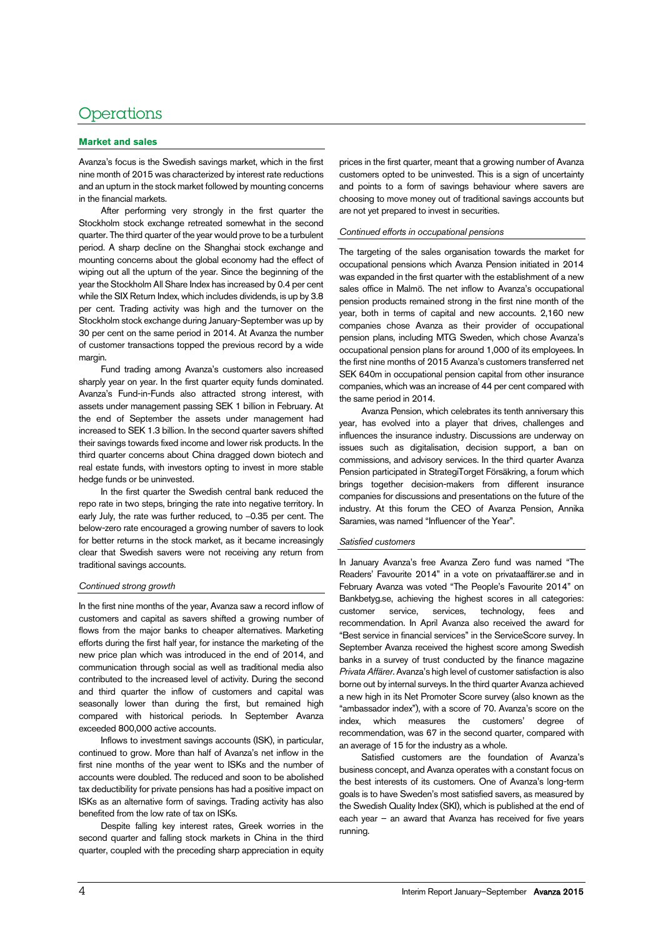# Operations

# **Market and sales**

Avanza's focus is the Swedish savings market, which in the first nine month of 2015 was characterized by interest rate reductions and an upturn in the stock market followed by mounting concerns in the financial markets.

After performing very strongly in the first quarter the Stockholm stock exchange retreated somewhat in the second quarter. The third quarter of the year would prove to be a turbulent period. A sharp decline on the Shanghai stock exchange and mounting concerns about the global economy had the effect of wiping out all the upturn of the year. Since the beginning of the year the Stockholm All Share Index has increased by 0.4 per cent while the SIX Return Index, which includes dividends, is up by 3.8 per cent. Trading activity was high and the turnover on the Stockholm stock exchange during January-September was up by 30 per cent on the same period in 2014. At Avanza the number of customer transactions topped the previous record by a wide margin.

Fund trading among Avanza's customers also increased sharply year on year. In the first quarter equity funds dominated. Avanza's Fund-in-Funds also attracted strong interest, with assets under management passing SEK 1 billion in February. At the end of September the assets under management had increased to SEK 1.3 billion. In the second quarter savers shifted their savings towards fixed income and lower risk products. In the third quarter concerns about China dragged down biotech and real estate funds, with investors opting to invest in more stable hedge funds or be uninvested.

In the first quarter the Swedish central bank reduced the repo rate in two steps, bringing the rate into negative territory. In early July, the rate was further reduced, to –0.35 per cent. The below-zero rate encouraged a growing number of savers to look for better returns in the stock market, as it became increasingly clear that Swedish savers were not receiving any return from traditional savings accounts.

### *Continued strong growth*

In the first nine months of the year, Avanza saw a record inflow of customers and capital as savers shifted a growing number of flows from the major banks to cheaper alternatives. Marketing efforts during the first half year, for instance the marketing of the new price plan which was introduced in the end of 2014, and communication through social as well as traditional media also contributed to the increased level of activity. During the second and third quarter the inflow of customers and capital was seasonally lower than during the first, but remained high compared with historical periods. In September Avanza exceeded 800,000 active accounts.

Inflows to investment savings accounts (ISK), in particular, continued to grow. More than half of Avanza's net inflow in the first nine months of the year went to ISKs and the number of accounts were doubled. The reduced and soon to be abolished tax deductibility for private pensions has had a positive impact on ISKs as an alternative form of savings. Trading activity has also benefited from the low rate of tax on ISKs.

Despite falling key interest rates, Greek worries in the second quarter and falling stock markets in China in the third quarter, coupled with the preceding sharp appreciation in equity

prices in the first quarter, meant that a growing number of Avanza customers opted to be uninvested. This is a sign of uncertainty and points to a form of savings behaviour where savers are choosing to move money out of traditional savings accounts but are not yet prepared to invest in securities.

### *Continued efforts in occupational pensions*

The targeting of the sales organisation towards the market for occupational pensions which Avanza Pension initiated in 2014 was expanded in the first quarter with the establishment of a new sales office in Malmö. The net inflow to Avanza's occupational pension products remained strong in the first nine month of the year, both in terms of capital and new accounts. 2,160 new companies chose Avanza as their provider of occupational pension plans, including MTG Sweden, which chose Avanza's occupational pension plans for around 1,000 of its employees. In the first nine months of 2015 Avanza's customers transferred net SEK 640m in occupational pension capital from other insurance companies, which was an increase of 44 per cent compared with the same period in 2014.

Avanza Pension, which celebrates its tenth anniversary this year, has evolved into a player that drives, challenges and influences the insurance industry. Discussions are underway on issues such as digitalisation, decision support, a ban on commissions, and advisory services. In the third quarter Avanza Pension participated in StrategiTorget Försäkring, a forum which brings together decision-makers from different insurance companies for discussions and presentations on the future of the industry. At this forum the CEO of Avanza Pension, Annika Saramies, was named "Influencer of the Year".

# *Satisfied customers*

In January Avanza's free Avanza Zero fund was named "The Readers' Favourite 2014" in a vote on privataaffärer.se and in February Avanza was voted "The People's Favourite 2014" on Bankbetyg.se, achieving the highest scores in all categories: customer service, services, technology, fees and recommendation. In April Avanza also received the award for "Best service in financial services" in the ServiceScore survey. In September Avanza received the highest score among Swedish banks in a survey of trust conducted by the finance magazine *Privata Affärer*. Avanza's high level of customer satisfaction is also borne out by internal surveys. In the third quarter Avanza achieved a new high in its Net Promoter Score survey (also known as the "ambassador index"), with a score of 70. Avanza's score on the index, which measures the customers' degree of recommendation, was 67 in the second quarter, compared with an average of 15 for the industry as a whole.

Satisfied customers are the foundation of Avanza's business concept, and Avanza operates with a constant focus on the best interests of its customers. One of Avanza's long-term goals is to have Sweden's most satisfied savers, as measured by the Swedish Quality Index (SKI), which is published at the end of each year – an award that Avanza has received for five years running.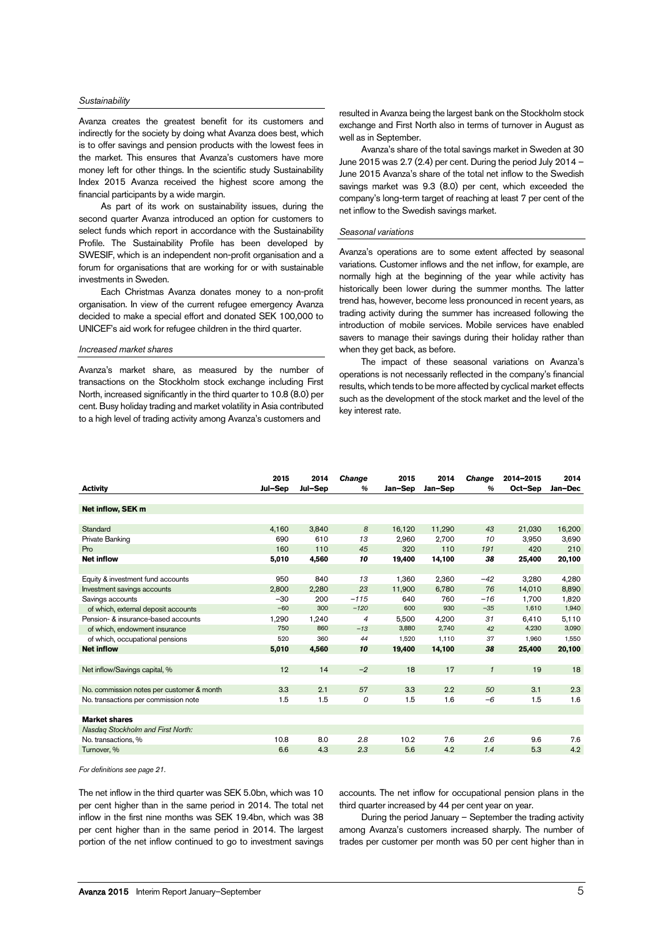#### *Sustainability*

Avanza creates the greatest benefit for its customers and indirectly for the society by doing what Avanza does best, which is to offer savings and pension products with the lowest fees in the market. This ensures that Avanza's customers have more money left for other things. In the scientific study Sustainability Index 2015 Avanza received the highest score among the financial participants by a wide margin.

As part of its work on sustainability issues, during the second quarter Avanza introduced an option for customers to select funds which report in accordance with the Sustainability Profile. The Sustainability Profile has been developed by SWESIF, which is an independent non-profit organisation and a forum for organisations that are working for or with sustainable investments in Sweden.

Each Christmas Avanza donates money to a non-profit organisation. In view of the current refugee emergency Avanza decided to make a special effort and donated SEK 100,000 to UNICEF's aid work for refugee children in the third quarter.

### *Increased market shares*

Avanza's market share, as measured by the number of transactions on the Stockholm stock exchange including First North, increased significantly in the third quarter to 10.8 (8.0) per cent. Busy holiday trading and market volatility in Asia contributed to a high level of trading activity among Avanza's customers and

resulted in Avanza being the largest bank on the Stockholm stock exchange and First North also in terms of turnover in August as well as in September.

Avanza's share of the total savings market in Sweden at 30 June 2015 was 2.7 (2.4) per cent. During the period July 2014 – June 2015 Avanza's share of the total net inflow to the Swedish savings market was 9.3 (8.0) per cent, which exceeded the company's long-term target of reaching at least 7 per cent of the net inflow to the Swedish savings market.

#### *Seasonal variations*

Avanza's operations are to some extent affected by seasonal variations. Customer inflows and the net inflow, for example, are normally high at the beginning of the year while activity has historically been lower during the summer months. The latter trend has, however, become less pronounced in recent years, as trading activity during the summer has increased following the introduction of mobile services. Mobile services have enabled savers to manage their savings during their holiday rather than when they get back, as before.

The impact of these seasonal variations on Avanza's operations is not necessarily reflected in the company's financial results, which tends to be more affected by cyclical market effects such as the development of the stock market and the level of the key interest rate.

|                                           | 2015    | 2014    | Change         | 2015    | 2014    | <b>Change</b> | 2014-2015 | 2014    |
|-------------------------------------------|---------|---------|----------------|---------|---------|---------------|-----------|---------|
| <b>Activity</b>                           | Jul-Sep | Jul-Sep | %              | Jan-Sep | Jan-Sep | $\frac{a}{b}$ | Oct-Sep   | Jan-Dec |
|                                           |         |         |                |         |         |               |           |         |
| Net inflow, SEK m                         |         |         |                |         |         |               |           |         |
|                                           |         |         |                |         |         |               |           |         |
| Standard                                  | 4.160   | 3.840   | 8              | 16.120  | 11,290  | 43            | 21,030    | 16,200  |
| Private Banking                           | 690     | 610     | 13             | 2,960   | 2,700   | 10            | 3,950     | 3,690   |
| Pro                                       | 160     | 110     | 45             | 320     | 110     | 191           | 420       | 210     |
| <b>Net inflow</b>                         | 5,010   | 4,560   | 10             | 19,400  | 14,100  | 38            | 25,400    | 20,100  |
|                                           |         |         |                |         |         |               |           |         |
| Equity & investment fund accounts         | 950     | 840     | 13             | 1.360   | 2,360   | $-42$         | 3,280     | 4,280   |
| Investment savings accounts               | 2.800   | 2,280   | 23             | 11.900  | 6.780   | 76            | 14,010    | 8,890   |
| Savings accounts                          | $-30$   | 200     | $-115$         | 640     | 760     | $-16$         | 1.700     | 1,820   |
| of which, external deposit accounts       | $-60$   | 300     | $-120$         | 600     | 930     | $-35$         | 1,610     | 1,940   |
| Pension- & insurance-based accounts       | 1,290   | 1,240   | $\overline{4}$ | 5,500   | 4.200   | 31            | 6.410     | 5,110   |
| of which, endowment insurance             | 750     | 860     | $-13$          | 3,880   | 2,740   | 42            | 4,230     | 3,090   |
| of which, occupational pensions           | 520     | 360     | 44             | 1,520   | 1,110   | 37            | 1,960     | 1,550   |
| <b>Net inflow</b>                         | 5,010   | 4.560   | 10             | 19,400  | 14.100  | 38            | 25,400    | 20,100  |
|                                           |         |         |                |         |         |               |           |         |
| Net inflow/Savings capital, %             | 12      | 14      | $-2$           | 18      | 17      | $\mathbf{1}$  | 19        | 18      |
|                                           |         |         |                |         |         |               |           |         |
| No. commission notes per customer & month | 3.3     | 2.1     | 57             | 3.3     | 2.2     | 50            | 3.1       | 2.3     |
| No. transactions per commission note      | 1.5     | 1.5     | 0              | 1.5     | 1.6     | $-6$          | 1.5       | 1.6     |
|                                           |         |         |                |         |         |               |           |         |
| <b>Market shares</b>                      |         |         |                |         |         |               |           |         |
| Nasdag Stockholm and First North:         |         |         |                |         |         |               |           |         |
| No. transactions. %                       | 10.8    | 8.0     | 2.8            | 10.2    | 7.6     | 2.6           | 9.6       | 7.6     |
| Turnover, %                               | 6.6     | 4.3     | 2.3            | 5.6     | 4.2     | 1.4           | 5.3       | 4.2     |

*For definitions see pag[e 21.](#page-20-0)*

The net inflow in the third quarter was SEK 5.0bn, which was 10 per cent higher than in the same period in 2014. The total net inflow in the first nine months was SEK 19.4bn, which was 38 per cent higher than in the same period in 2014. The largest portion of the net inflow continued to go to investment savings accounts. The net inflow for occupational pension plans in the third quarter increased by 44 per cent year on year.

During the period January – September the trading activity among Avanza's customers increased sharply. The number of trades per customer per month was 50 per cent higher than in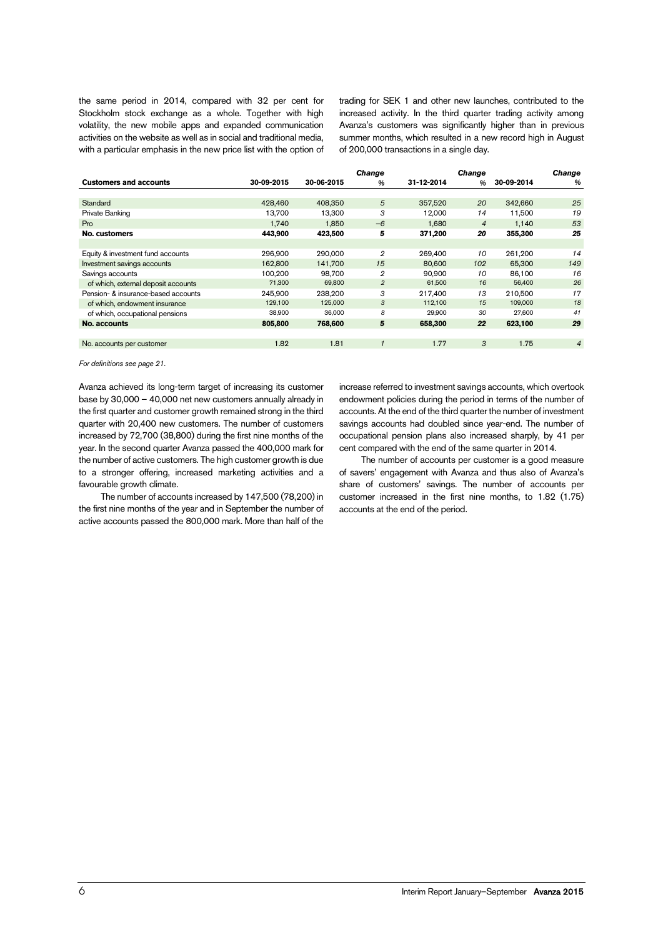the same period in 2014, compared with 32 per cent for Stockholm stock exchange as a whole. Together with high volatility, the new mobile apps and expanded communication activities on the website as well as in social and traditional media, with a particular emphasis in the new price list with the option of trading for SEK 1 and other new launches, contributed to the increased activity. In the third quarter trading activity among Avanza's customers was significantly higher than in previous summer months, which resulted in a new record high in August of 200,000 transactions in a single day.

|                                     |            |            | <b>Change</b>  |            | <b>Change</b>  |            | <b>Change</b>  |
|-------------------------------------|------------|------------|----------------|------------|----------------|------------|----------------|
| <b>Customers and accounts</b>       | 30-09-2015 | 30-06-2015 | $\%$           | 31-12-2014 | $\frac{a}{2}$  | 30-09-2014 | %              |
|                                     |            |            |                |            |                |            |                |
| Standard                            | 428.460    | 408.350    | 5              | 357.520    | 20             | 342.660    | 25             |
| Private Banking                     | 13.700     | 13.300     | 3              | 12.000     | 14             | 11.500     | 19             |
| Pro                                 | 1.740      | 1.850      | $-6$           | 1.680      | $\overline{4}$ | 1.140      | 53             |
| No. customers                       | 443,900    | 423,500    | 5              | 371,200    | 20             | 355,300    | 25             |
|                                     |            |            |                |            |                |            |                |
| Equity & investment fund accounts   | 296.900    | 290,000    | $\overline{2}$ | 269,400    | 10             | 261,200    | 14             |
| Investment savings accounts         | 162,800    | 141.700    | 15             | 80,600     | 102            | 65,300     | 149            |
| Savings accounts                    | 100.200    | 98.700     | 2              | 90.900     | 10             | 86,100     | 16             |
| of which, external deposit accounts | 71,300     | 69,800     | $\overline{2}$ | 61,500     | 16             | 56,400     | 26             |
| Pension- & insurance-based accounts | 245.900    | 238.200    | 3              | 217,400    | 13             | 210,500    | 17             |
| of which, endowment insurance       | 129,100    | 125,000    | 3              | 112,100    | 15             | 109,000    | 18             |
| of which, occupational pensions     | 38,900     | 36,000     | 8              | 29,900     | 30             | 27,600     | 41             |
| No. accounts                        | 805,800    | 768,600    | 5              | 658,300    | 22             | 623,100    | 29             |
|                                     |            |            |                |            |                |            |                |
| No. accounts per customer           | 1.82       | 1.81       |                | 1.77       | 3              | 1.75       | $\overline{4}$ |
|                                     |            |            |                |            |                |            |                |

*For definitions see page [21.](#page-20-0)*

Avanza achieved its long-term target of increasing its customer base by 30,000 – 40,000 net new customers annually already in the first quarter and customer growth remained strong in the third quarter with 20,400 new customers. The number of customers increased by 72,700 (38,800) during the first nine months of the year. In the second quarter Avanza passed the 400,000 mark for the number of active customers. The high customer growth is due to a stronger offering, increased marketing activities and a favourable growth climate.

The number of accounts increased by 147,500 (78,200) in the first nine months of the year and in September the number of active accounts passed the 800,000 mark. More than half of the increase referred to investment savings accounts, which overtook endowment policies during the period in terms of the number of accounts. At the end of the third quarter the number of investment savings accounts had doubled since year-end. The number of occupational pension plans also increased sharply, by 41 per cent compared with the end of the same quarter in 2014.

The number of accounts per customer is a good measure of savers' engagement with Avanza and thus also of Avanza's share of customers' savings. The number of accounts per customer increased in the first nine months, to 1.82 (1.75) accounts at the end of the period.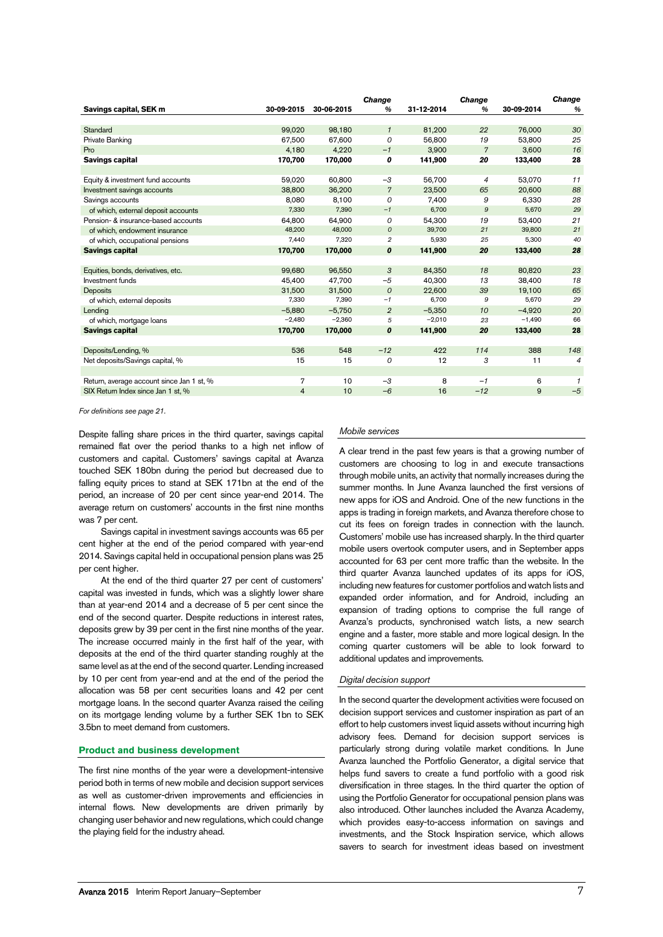|                                           |                |            | <b>Change</b>  |            | <b>Change</b>  |            | <b>Change</b>  |
|-------------------------------------------|----------------|------------|----------------|------------|----------------|------------|----------------|
| Savings capital, SEK m                    | 30-09-2015     | 30-06-2015 | %              | 31-12-2014 | $\%$           | 30-09-2014 | $\frac{9}{6}$  |
|                                           |                |            |                |            |                |            |                |
| Standard                                  | 99.020         | 98.180     | $\mathcal{I}$  | 81,200     | 22             | 76,000     | 30             |
| Private Banking                           | 67,500         | 67.600     | 0              | 56,800     | 19             | 53,800     | 25             |
| Pro                                       | 4,180          | 4,220      | $-1$           | 3,900      | $\overline{7}$ | 3,600      | 16             |
| Savings capital                           | 170,700        | 170,000    | 0              | 141,900    | 20             | 133,400    | 28             |
|                                           |                |            |                |            |                |            |                |
| Equity & investment fund accounts         | 59,020         | 60,800     | $-3$           | 56,700     | $\overline{4}$ | 53,070     | 11             |
| Investment savings accounts               | 38,800         | 36,200     | $\overline{7}$ | 23,500     | 65             | 20,600     | 88             |
| Savings accounts                          | 8,080          | 8,100      | 0              | 7,400      | 9              | 6,330      | 28             |
| of which, external deposit accounts       | 7,330          | 7,390      | $-1$           | 6,700      | 9              | 5,670      | 29             |
| Pension- & insurance-based accounts       | 64,800         | 64,900     | 0              | 54,300     | 19             | 53,400     | 21             |
| of which, endowment insurance             | 48,200         | 48,000     | 0              | 39,700     | 21             | 39,800     | 21             |
| of which, occupational pensions           | 7,440          | 7,320      | $\overline{2}$ | 5,930      | 25             | 5,300      | 40             |
| <b>Savings capital</b>                    | 170,700        | 170,000    | 0              | 141,900    | 20             | 133,400    | 28             |
|                                           |                |            |                |            |                |            |                |
| Equities, bonds, derivatives, etc.        | 99,680         | 96,550     | 3              | 84,350     | 18             | 80,820     | 23             |
| Investment funds                          | 45,400         | 47,700     | $-5$           | 40,300     | 13             | 38,400     | 18             |
| <b>Deposits</b>                           | 31,500         | 31,500     | $\overline{O}$ | 22,600     | 39             | 19,100     | 65             |
| of which, external deposits               | 7,330          | 7,390      | $-1$           | 6,700      | 9              | 5,670      | 29             |
| Lending                                   | $-5,880$       | $-5,750$   | $\overline{2}$ | $-5,350$   | 10             | $-4,920$   | 20             |
| of which, mortgage loans                  | $-2,480$       | $-2,360$   | 5              | $-2,010$   | 23             | $-1,490$   | 66             |
| Savings capital                           | 170,700        | 170,000    | 0              | 141,900    | 20             | 133,400    | 28             |
|                                           |                |            |                |            |                |            |                |
| Deposits/Lending, %                       | 536            | 548        | $-12$          | 422        | 114            | 388        | 148            |
| Net deposits/Savings capital, %           | 15             | 15         | 0              | 12         | 3              | 11         | $\overline{4}$ |
|                                           |                |            |                |            |                |            |                |
| Return, average account since Jan 1 st, % | 7              | 10         | $-3$           | 8          | $-1$           | 6          | 1              |
| SIX Return Index since Jan 1 st, %        | $\overline{4}$ | 10         | $-6$           | 16         | $-12$          | 9          | $-5$           |

*For definitions see page [21.](#page-20-0)*

Despite falling share prices in the third quarter, savings capital remained flat over the period thanks to a high net inflow of customers and capital. Customers' savings capital at Avanza touched SEK 180bn during the period but decreased due to falling equity prices to stand at SEK 171bn at the end of the period, an increase of 20 per cent since year-end 2014. The average return on customers' accounts in the first nine months was 7 per cent.

Savings capital in investment savings accounts was 65 per cent higher at the end of the period compared with year-end 2014. Savings capital held in occupational pension plans was 25 per cent higher.

At the end of the third quarter 27 per cent of customers' capital was invested in funds, which was a slightly lower share than at year-end 2014 and a decrease of 5 per cent since the end of the second quarter. Despite reductions in interest rates, deposits grew by 39 per cent in the first nine months of the year. The increase occurred mainly in the first half of the year, with deposits at the end of the third quarter standing roughly at the same level as at the end of the second quarter. Lending increased by 10 per cent from year-end and at the end of the period the allocation was 58 per cent securities loans and 42 per cent mortgage loans. In the second quarter Avanza raised the ceiling on its mortgage lending volume by a further SEK 1bn to SEK 3.5bn to meet demand from customers.

### **Product and business development**

The first nine months of the year were a development-intensive period both in terms of new mobile and decision support services as well as customer-driven improvements and efficiencies in internal flows. New developments are driven primarily by changing user behavior and new regulations, which could change the playing field for the industry ahead.

### *Mobile services*

A clear trend in the past few years is that a growing number of customers are choosing to log in and execute transactions through mobile units, an activity that normally increases during the summer months. In June Avanza launched the first versions of new apps for iOS and Android. One of the new functions in the apps is trading in foreign markets, and Avanza therefore chose to cut its fees on foreign trades in connection with the launch. Customers' mobile use has increased sharply. In the third quarter mobile users overtook computer users, and in September apps accounted for 63 per cent more traffic than the website. In the third quarter Avanza launched updates of its apps for iOS, including new features for customer portfolios and watch lists and expanded order information, and for Android, including an expansion of trading options to comprise the full range of Avanza's products, synchronised watch lists, a new search engine and a faster, more stable and more logical design. In the coming quarter customers will be able to look forward to additional updates and improvements.

### *Digital decision support*

In the second quarter the development activities were focused on decision support services and customer inspiration as part of an effort to help customers invest liquid assets without incurring high advisory fees. Demand for decision support services is particularly strong during volatile market conditions. In June Avanza launched the Portfolio Generator, a digital service that helps fund savers to create a fund portfolio with a good risk diversification in three stages. In the third quarter the option of using the Portfolio Generator for occupational pension plans was also introduced. Other launches included the Avanza Academy, which provides easy-to-access information on savings and investments, and the Stock Inspiration service, which allows savers to search for investment ideas based on investment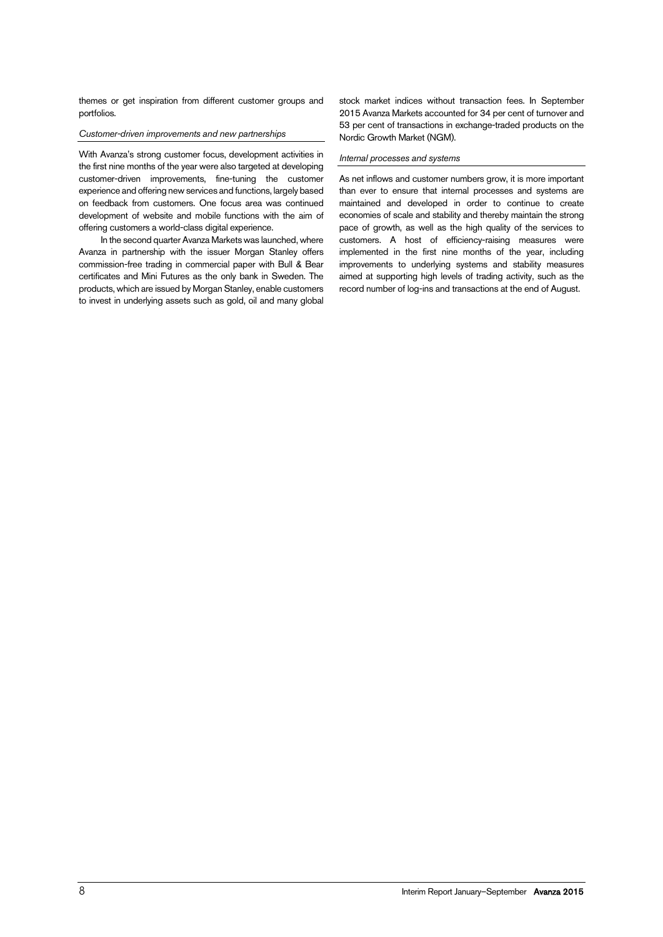themes or get inspiration from different customer groups and portfolios.

### *Customer-driven improvements and new partnerships*

With Avanza's strong customer focus, development activities in the first nine months of the year were also targeted at developing customer-driven improvements, fine-tuning the customer experience and offering new services and functions, largely based on feedback from customers. One focus area was continued development of website and mobile functions with the aim of offering customers a world-class digital experience.

In the second quarter Avanza Markets was launched, where Avanza in partnership with the issuer Morgan Stanley offers commission-free trading in commercial paper with Bull & Bear certificates and Mini Futures as the only bank in Sweden. The products, which are issued by Morgan Stanley, enable customers to invest in underlying assets such as gold, oil and many global

stock market indices without transaction fees. In September 2015 Avanza Markets accounted for 34 per cent of turnover and 53 per cent of transactions in exchange-traded products on the Nordic Growth Market (NGM).

### *Internal processes and systems*

As net inflows and customer numbers grow, it is more important than ever to ensure that internal processes and systems are maintained and developed in order to continue to create economies of scale and stability and thereby maintain the strong pace of growth, as well as the high quality of the services to customers. A host of efficiency-raising measures were implemented in the first nine months of the year, including improvements to underlying systems and stability measures aimed at supporting high levels of trading activity, such as the record number of log-ins and transactions at the end of August.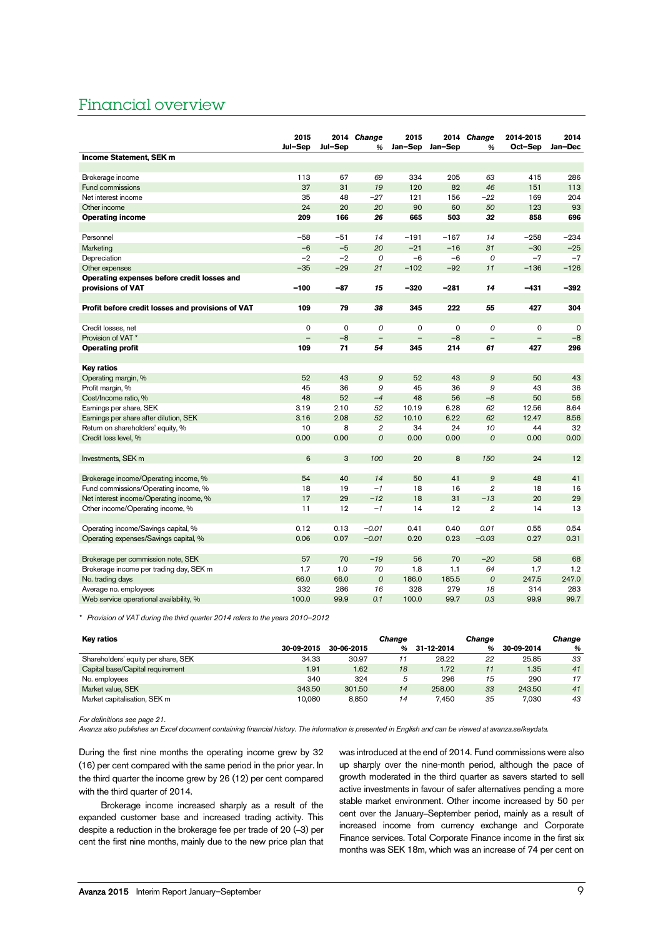# Financial overview

|                                                   | 2015<br>Jul-Sep          | Jul-Sep  | 2014 Change<br>%  | 2015                     | Jan-Sep Jan-Sep | 2014 Change<br>% | 2014-2015<br>Oct-Sep     | 2014<br>Jan-Dec |
|---------------------------------------------------|--------------------------|----------|-------------------|--------------------------|-----------------|------------------|--------------------------|-----------------|
| Income Statement, SEK m                           |                          |          |                   |                          |                 |                  |                          |                 |
|                                                   |                          |          |                   |                          |                 |                  |                          |                 |
| Brokerage income                                  | 113                      | 67       | 69                | 334                      | 205             | 63               | 415                      | 286             |
| <b>Fund commissions</b>                           | 37                       | 31       | 19                | 120                      | 82              | 46               | 151                      | 113             |
| Net interest income                               | 35                       | 48       | $-27$             | 121                      | 156             | $-22$            | 169                      | 204             |
| Other income                                      | 24                       | 20       | 20                | 90                       | 60              | 50               | 123                      | 93              |
| <b>Operating income</b>                           | 209                      | 166      | 26                | 665                      | 503             | 32               | 858                      | 696             |
| Personnel                                         | $-58$                    | $-51$    | 14                | $-191$                   | $-167$          | 14               | $-258$                   | $-234$          |
| <b>Marketing</b>                                  | $-6$                     | $-5$     | 20                | $-21$                    | $-16$           | 31               | $-30$                    | $-25$           |
| Depreciation                                      | $-2$                     | $-2$     | 0                 | $-6$                     | $-6$            | 0                | $-7$                     | $-7$            |
| Other expenses                                    | $-35$                    | $-29$    | 21                | $-102$                   | $-92$           | 11               | $-136$                   | $-126$          |
| Operating expenses before credit losses and       |                          |          |                   |                          |                 |                  |                          |                 |
| provisions of VAT                                 | $-100$                   | $-87$    | 15                | $-320$                   | $-281$          | 14               | $-431$                   | $-392$          |
|                                                   |                          |          |                   |                          |                 |                  |                          |                 |
| Profit before credit losses and provisions of VAT | 109                      | 79       | 38                | 345                      | 222             | 55               | 427                      | 304             |
|                                                   |                          |          |                   |                          |                 |                  |                          |                 |
| Credit losses, net                                | $\Omega$                 | $\Omega$ | 0                 | $\mathbf 0$              | $\mathbf 0$     | $\mathcal{O}$    | $\mathbf 0$              | $\Omega$        |
| Provision of VAT*                                 | $\overline{\phantom{0}}$ | $-8$     | $\qquad \qquad -$ | $\overline{\phantom{0}}$ | $-8$            | $\overline{a}$   | $\overline{\phantom{0}}$ | $-8$            |
| <b>Operating profit</b>                           | 109                      | 71       | 54                | 345                      | 214             | 61               | 427                      | 296             |
|                                                   |                          |          |                   |                          |                 |                  |                          |                 |
| Key ratios                                        |                          |          |                   |                          |                 |                  |                          |                 |
| Operating margin, %                               | 52                       | 43       | $\mathcal{Q}$     | 52                       | 43              | $\boldsymbol{9}$ | 50                       | 43              |
| Profit margin, %                                  | 45                       | 36       | 9                 | 45                       | 36              | 9                | 43                       | 36              |
| Cost/Income ratio, %                              | 48                       | 52       | $-4$              | 48                       | 56              | $-8$             | 50                       | 56              |
| Earnings per share, SEK                           | 3.19                     | 2.10     | 52                | 10.19                    | 6.28            | 62               | 12.56                    | 8.64            |
| Earnings per share after dilution, SEK            | 3.16                     | 2.08     | 52                | 10.10                    | 6.22            | 62               | 12.47                    | 8.56            |
| Return on shareholders' equity, %                 | 10                       | 8        | $\overline{2}$    | 34                       | 24              | 10               | 44                       | 32              |
| Credit loss level, %                              | 0.00                     | 0.00     | 0                 | 0.00                     | 0.00            | 0                | 0.00                     | 0.00            |
| Investments, SEK m                                | 6                        | 3        | 100               | 20                       | 8               | 150              | 24                       | 12              |
|                                                   |                          |          |                   |                          |                 |                  |                          |                 |
| Brokerage income/Operating income, %              | 54                       | 40       | 14                | 50                       | 41              | $\boldsymbol{9}$ | 48                       | 41              |
| Fund commissions/Operating income, %              | 18                       | 19       | $-1$              | 18                       | 16              | $\overline{2}$   | 18                       | 16              |
| Net interest income/Operating income, %           | 17                       | 29       | $-12$             | 18                       | 31              | $-13$            | 20                       | 29              |
| Other income/Operating income, %                  | 11                       | 12       | $-1$              | 14                       | 12              | $\overline{2}$   | 14                       | 13              |
|                                                   |                          |          |                   |                          |                 |                  |                          |                 |
| Operating income/Savings capital, %               | 0.12                     | 0.13     | $-0.01$           | 0.41                     | 0.40            | 0.01             | 0.55                     | 0.54            |
| Operating expenses/Savings capital, %             | 0.06                     | 0.07     | $-0.01$           | 0.20                     | 0.23            | $-0.03$          | 0.27                     | 0.31            |
|                                                   |                          |          |                   |                          |                 |                  |                          |                 |
| Brokerage per commission note, SEK                | 57                       | 70       | $-19$             | 56                       | 70              | $-20$            | 58                       | 68              |
| Brokerage income per trading day, SEK m           | 1.7                      | 1.0      | 70                | 1.8                      | 1.1             | 64               | 1.7                      | 1.2             |
| No. trading days                                  | 66.0                     | 66.0     | 0                 | 186.0                    | 185.5           | $\cal O$         | 247.5                    | 247.0           |
| Average no. employees                             | 332                      | 286      | 16                | 328                      | 279             | 18               | 314                      | 283             |
| Web service operational availability, %           | 100.0                    | 99.9     | 0.1               | 100.0                    | 99.7            | 0.3              | 99.9                     | 99.7            |

*\* Provision of VAT during the third quarter 2014 refers to the years 2010–2012*

| Key ratios                          |            |            | Change |            | <b>Change</b> |            | Change |
|-------------------------------------|------------|------------|--------|------------|---------------|------------|--------|
|                                     | 30-09-2015 | 30-06-2015 | %      | 31-12-2014 | %             | 30-09-2014 | %      |
| Shareholders' equity per share, SEK | 34.33      | 30.97      |        | 28.22      | 22            | 25.85      | 33     |
| Capital base/Capital requirement    | 1.91       | 1.62       | 18     | 1.72       |               | 1.35       | 41     |
| No. employees                       | 340        | 324        | 5      | 296        | 15            | 290        | 17     |
| Market value, SEK                   | 343.50     | 301.50     | 14     | 258.00     | 33            | 243.50     | 41     |
| Market capitalisation, SEK m        | 10.080     | 8.850      | 14     | 7.450      | 35            | 7.030      | 43     |

*For definitions see page [21.](#page-20-0)*

*Avanza also publishes an Excel document containing financial history. The information is presented in English and can be viewed at avanza.se/keydata.*

During the first nine months the operating income grew by 32 (16) per cent compared with the same period in the prior year. In the third quarter the income grew by 26 (12) per cent compared with the third quarter of 2014.

Brokerage income increased sharply as a result of the expanded customer base and increased trading activity. This despite a reduction in the brokerage fee per trade of 20 (–3) per cent the first nine months, mainly due to the new price plan that was introduced at the end of 2014. Fund commissions were also up sharply over the nine-month period, although the pace of growth moderated in the third quarter as savers started to sell active investments in favour of safer alternatives pending a more stable market environment. Other income increased by 50 per cent over the January–September period, mainly as a result of increased income from currency exchange and Corporate Finance services. Total Corporate Finance income in the first six months was SEK 18m, which was an increase of 74 per cent on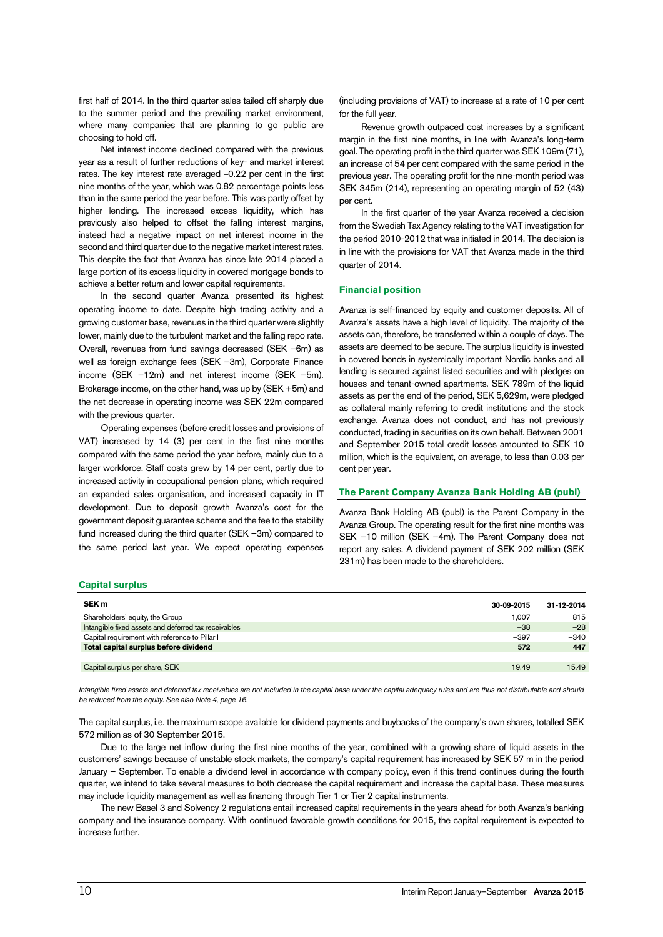first half of 2014. In the third quarter sales tailed off sharply due to the summer period and the prevailing market environment, where many companies that are planning to go public are choosing to hold off.

Net interest income declined compared with the previous year as a result of further reductions of key- and market interest rates. The key interest rate averaged –0.22 per cent in the first nine months of the year, which was 0.82 percentage points less than in the same period the year before. This was partly offset by higher lending. The increased excess liquidity, which has previously also helped to offset the falling interest margins, instead had a negative impact on net interest income in the second and third quarter due to the negative market interest rates. This despite the fact that Avanza has since late 2014 placed a large portion of its excess liquidity in covered mortgage bonds to achieve a better return and lower capital requirements.

In the second quarter Avanza presented its highest operating income to date. Despite high trading activity and a growing customer base, revenues in the third quarter were slightly lower, mainly due to the turbulent market and the falling repo rate. Overall, revenues from fund savings decreased (SEK –6m) as well as foreign exchange fees (SEK –3m), Corporate Finance income (SEK –12m) and net interest income (SEK –5m). Brokerage income, on the other hand, was up by (SEK +5m) and the net decrease in operating income was SEK 22m compared with the previous quarter.

Operating expenses (before credit losses and provisions of VAT) increased by 14 (3) per cent in the first nine months compared with the same period the year before, mainly due to a larger workforce. Staff costs grew by 14 per cent, partly due to increased activity in occupational pension plans, which required an expanded sales organisation, and increased capacity in IT development. Due to deposit growth Avanza's cost for the government deposit guarantee scheme and the fee to the stability fund increased during the third quarter (SEK –3m) compared to the same period last year. We expect operating expenses

(including provisions of VAT) to increase at a rate of 10 per cent for the full year.

Revenue growth outpaced cost increases by a significant margin in the first nine months, in line with Avanza's long-term goal. The operating profit in the third quarter was SEK 109m (71), an increase of 54 per cent compared with the same period in the previous year. The operating profit for the nine-month period was SEK 345m (214), representing an operating margin of 52 (43) per cent.

In the first quarter of the year Avanza received a decision from the Swedish Tax Agency relating to the VAT investigation for the period 2010-2012 that was initiated in 2014. The decision is in line with the provisions for VAT that Avanza made in the third quarter of 2014.

### **Financial position**

Avanza is self-financed by equity and customer deposits. All of Avanza's assets have a high level of liquidity. The majority of the assets can, therefore, be transferred within a couple of days. The assets are deemed to be secure. The surplus liquidity is invested in covered bonds in systemically important Nordic banks and all lending is secured against listed securities and with pledges on houses and tenant-owned apartments. SEK 789m of the liquid assets as per the end of the period, SEK 5,629m, were pledged as collateral mainly referring to credit institutions and the stock exchange. Avanza does not conduct, and has not previously conducted, trading in securities on its own behalf. Between 2001 and September 2015 total credit losses amounted to SEK 10 million, which is the equivalent, on average, to less than 0.03 per cent per year.

# **The Parent Company Avanza Bank Holding AB (publ)**

Avanza Bank Holding AB (publ) is the Parent Company in the Avanza Group. The operating result for the first nine months was SEK –10 million (SEK –4m). The Parent Company does not report any sales. A dividend payment of SEK 202 million (SEK 231m) has been made to the shareholders.

#### **Capital surplus**

| SEK <sub>m</sub>                                     | 30-09-2015 | 31-12-2014 |
|------------------------------------------------------|------------|------------|
| Shareholders' equity, the Group                      | 1.007      | 815        |
| Intangible fixed assets and deferred tax receivables | $-38$      | $-28$      |
| Capital requirement with reference to Pillar I       | $-397$     | $-340$     |
| Total capital surplus before dividend                | 572        | 447        |
|                                                      |            |            |
| Capital surplus per share, SEK                       | 19.49      | 15.49      |

Intangible fixed assets and deferred tax receivables are not included in the capital base under the capital adequacy rules and are thus not distributable and should *be reduced from the equity. See also Note 4, page [16.](#page-15-0)*

The capital surplus, i.e. the maximum scope available for dividend payments and buybacks of the company's own shares, totalled SEK 572 million as of 30 September 2015.

Due to the large net inflow during the first nine months of the year, combined with a growing share of liquid assets in the customers' savings because of unstable stock markets, the company's capital requirement has increased by SEK 57 m in the period January – September. To enable a dividend level in accordance with company policy, even if this trend continues during the fourth quarter, we intend to take several measures to both decrease the capital requirement and increase the capital base. These measures may include liquidity management as well as financing through Tier 1 or Tier 2 capital instruments.

The new Basel 3 and Solvency 2 regulations entail increased capital requirements in the years ahead for both Avanza's banking company and the insurance company. With continued favorable growth conditions for 2015, the capital requirement is expected to increase further.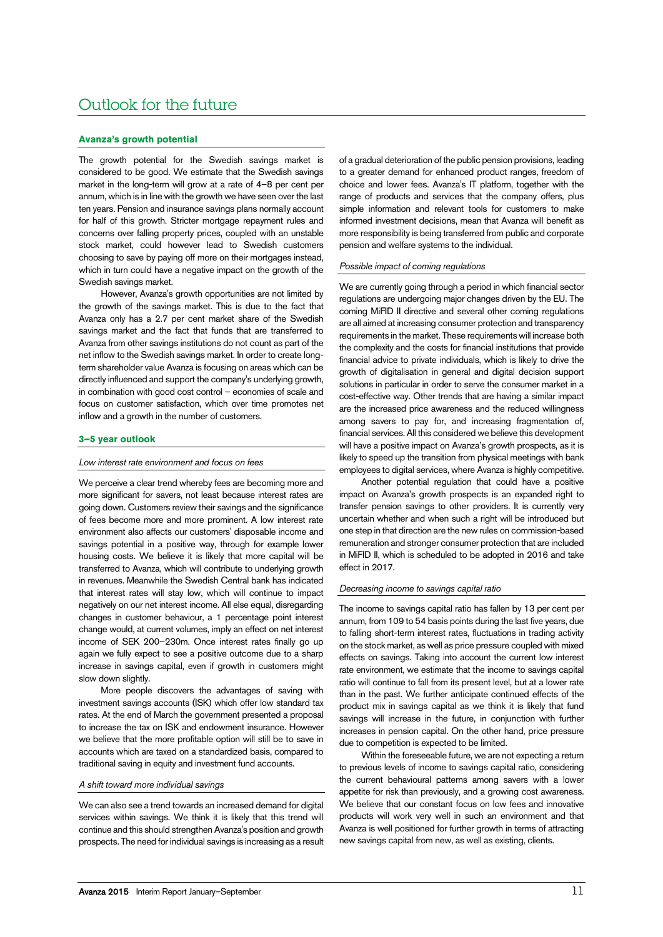# Outlook for the future

### **Avanza's growth potential**

The growth potential for the Swedish savings market is considered to be good. We estimate that the Swedish savings market in the long-term will grow at a rate of 4–8 per cent per annum, which is in line with the growth we have seen over the last ten years. Pension and insurance savings plans normally account for half of this growth. Stricter mortgage repayment rules and concerns over falling property prices, coupled with an unstable stock market, could however lead to Swedish customers choosing to save by paying off more on their mortgages instead, which in turn could have a negative impact on the growth of the Swedish savings market.

However, Avanza's growth opportunities are not limited by the growth of the savings market. This is due to the fact that Avanza only has a 2.7 per cent market share of the Swedish savings market and the fact that funds that are transferred to Avanza from other savings institutions do not count as part of the net inflow to the Swedish savings market. In order to create longterm shareholder value Avanza is focusing on areas which can be directly influenced and support the company's underlying growth, in combination with good cost control – economies of scale and focus on customer satisfaction, which over time promotes net inflow and a growth in the number of customers.

### **3–5 year outlook**

#### *Low interest rate environment and focus on fees*

We perceive a clear trend whereby fees are becoming more and more significant for savers, not least because interest rates are going down. Customers review their savings and the significance of fees become more and more prominent. A low interest rate environment also affects our customers' disposable income and savings potential in a positive way, through for example lower housing costs. We believe it is likely that more capital will be transferred to Avanza, which will contribute to underlying growth in revenues. Meanwhile the Swedish Central bank has indicated that interest rates will stay low, which will continue to impact negatively on our net interest income. All else equal, disregarding changes in customer behaviour, a 1 percentage point interest change would, at current volumes, imply an effect on net interest income of SEK 200–230m. Once interest rates finally go up again we fully expect to see a positive outcome due to a sharp increase in savings capital, even if growth in customers might slow down slightly

More people discovers the advantages of saving with investment savings accounts (ISK) which offer low standard tax rates. At the end of March the government presented a proposal to increase the tax on ISK and endowment insurance. However we believe that the more profitable option will still be to save in accounts which are taxed on a standardized basis, compared to traditional saving in equity and investment fund accounts.

# *A shift toward more individual savings*

We can also see a trend towards an increased demand for digital services within savings. We think it is likely that this trend will continue and this should strengthen Avanza's position and growth prospects. The need for individual savings is increasing as a result of a gradual deterioration of the public pension provisions, leading to a greater demand for enhanced product ranges, freedom of choice and lower fees. Avanza's IT platform, together with the range of products and services that the company offers, plus simple information and relevant tools for customers to make informed investment decisions, mean that Avanza will benefit as more responsibility is being transferred from public and corporate pension and welfare systems to the individual.

### *Possible impact of coming regulations*

We are currently going through a period in which financial sector regulations are undergoing major changes driven by the EU. The coming MiFID II directive and several other coming regulations are all aimed at increasing consumer protection and transparency requirements in the market. These requirements will increase both the complexity and the costs for financial institutions that provide financial advice to private individuals, which is likely to drive the growth of digitalisation in general and digital decision support solutions in particular in order to serve the consumer market in a cost-effective way. Other trends that are having a similar impact are the increased price awareness and the reduced willingness among savers to pay for, and increasing fragmentation of, financial services. All this considered we believe this development will have a positive impact on Avanza's growth prospects, as it is likely to speed up the transition from physical meetings with bank employees to digital services, where Avanza is highly competitive.

Another potential regulation that could have a positive impact on Avanza's growth prospects is an expanded right to transfer pension savings to other providers. It is currently very uncertain whether and when such a right will be introduced but one step in that direction are the new rules on commission-based remuneration and stronger consumer protection that are included in MiFID II, which is scheduled to be adopted in 2016 and take effect in 2017.

### *Decreasing income to savings capital ratio*

The income to savings capital ratio has fallen by 13 per cent per annum, from 109 to 54 basis points during the last five years, due to falling short-term interest rates, fluctuations in trading activity on the stock market, as well as price pressure coupled with mixed effects on savings. Taking into account the current low interest rate environment, we estimate that the income to savings capital ratio will continue to fall from its present level, but at a lower rate than in the past. We further anticipate continued effects of the product mix in savings capital as we think it is likely that fund savings will increase in the future, in conjunction with further increases in pension capital. On the other hand, price pressure due to competition is expected to be limited.

Within the foreseeable future, we are not expecting a return to previous levels of income to savings capital ratio, considering the current behavioural patterns among savers with a lower appetite for risk than previously, and a growing cost awareness. We believe that our constant focus on low fees and innovative products will work very well in such an environment and that Avanza is well positioned for further growth in terms of attracting new savings capital from new, as well as existing, clients.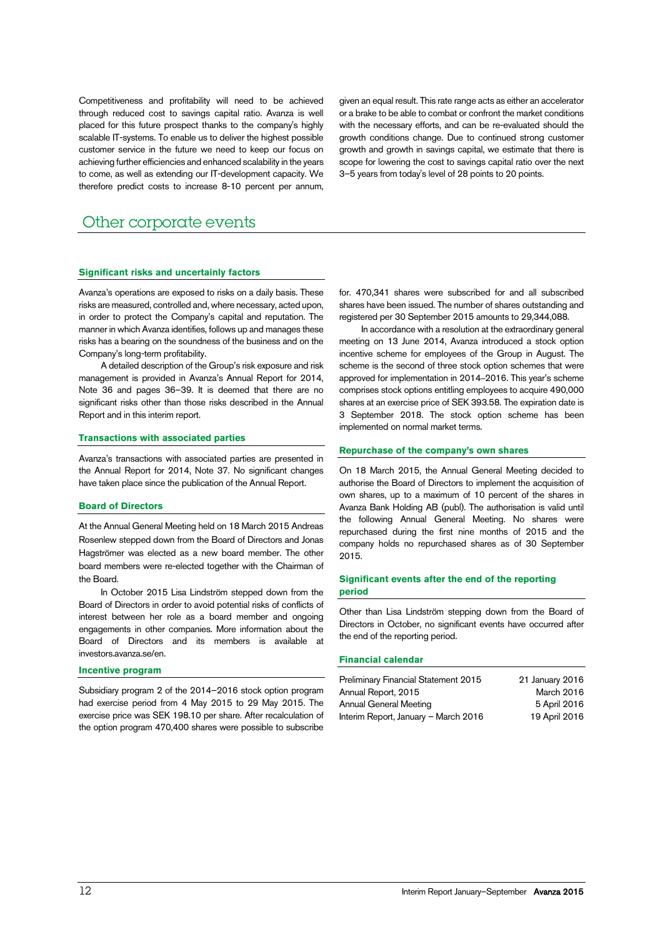Competitiveness and profitability will need to be achieved through reduced cost to savings capital ratio. Avanza is well placed for this future prospect thanks to the company's highly scalable IT-systems. To enable us to deliver the highest possible customer service in the future we need to keep our focus on achieving further efficiencies and enhanced scalability in the years to come, as well as extending our IT-development capacity. We therefore predict costs to increase 8-10 percent per annum,

given an equal result. This rate range acts as either an accelerator or a brake to be able to combat or confront the market conditions with the necessary efforts, and can be re-evaluated should the growth conditions change. Due to continued strong customer growth and growth in savings capital, we estimate that there is scope for lowering the cost to savings capital ratio over the next 3–5 years from today's level of 28 points to 20 points.

# Other corporate events

### **Significant risks and uncertainly factors**

Avanza's operations are exposed to risks on a daily basis. These risks are measured, controlled and, where necessary, acted upon, in order to protect the Company's capital and reputation. The manner in which Avanza identifies, follows up and manages these risks has a bearing on the soundness of the business and on the Company's long-term profitability.

A detailed description of the Group's risk exposure and risk management is provided in Avanza's Annual Report for 2014, Note 36 and pages 36–39. It is deemed that there are no significant risks other than those risks described in the Annual Report and in this interim report.

### **Transactions with associated parties**

Avanza's transactions with associated parties are presented in the Annual Report for 2014, Note 37. No significant changes have taken place since the publication of the Annual Report.

### **Board of Directors**

At the Annual General Meeting held on 18 March 2015 Andreas Rosenlew stepped down from the Board of Directors and Jonas Hagströmer was elected as a new board member. The other board members were re-elected together with the Chairman of the Board.

In October 2015 Lisa Lindström stepped down from the Board of Directors in order to avoid potential risks of conflicts of interest between her role as a board member and ongoing engagements in other companies. More information about the Board of Directors and its members is available at investors.avanza.se/en.

### **Incentive program**

Subsidiary program 2 of the 2014–2016 stock option program had exercise period from 4 May 2015 to 29 May 2015. The exercise price was SEK 198.10 per share. After recalculation of the option program 470,400 shares were possible to subscribe

for. 470,341 shares were subscribed for and all subscribed shares have been issued. The number of shares outstanding and registered per 30 September 2015 amounts to 29,344,088.

In accordance with a resolution at the extraordinary general meeting on 13 June 2014, Avanza introduced a stock option incentive scheme for employees of the Group in August. The scheme is the second of three stock option schemes that were approved for implementation in 2014–2016. This year's scheme comprises stock options entitling employees to acquire 490,000 shares at an exercise price of SEK 393.58. The expiration date is 3 September 2018. The stock option scheme has been implemented on normal market terms.

#### **Repurchase of the company's own shares**

On 18 March 2015, the Annual General Meeting decided to authorise the Board of Directors to implement the acquisition of own shares, up to a maximum of 10 percent of the shares in Avanza Bank Holding AB (publ). The authorisation is valid until the following Annual General Meeting. No shares were repurchased during the first nine months of 2015 and the company holds no repurchased shares as of 30 September 2015.

# **Significant events after the end of the reporting period**

Other than Lisa Lindström stepping down from the Board of Directors in October, no significant events have occurred after the end of the reporting period.

### **Financial calendar**

| Preliminary Financial Statement 2015 | 21 January 2016 |
|--------------------------------------|-----------------|
| Annual Report, 2015                  | March 2016      |
| Annual General Meeting               | 5 April 2016    |
| Interim Report, January - March 2016 | 19 April 2016   |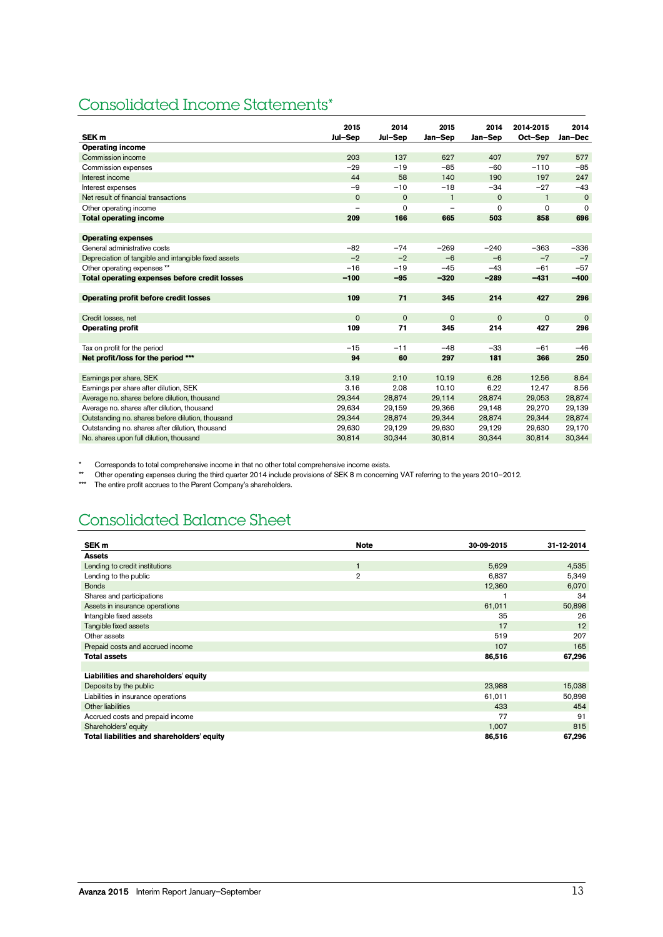# Consolidated Income Statements\*

|                                                      | 2015        | 2014        | 2015           | 2014        | 2014-2015    | 2014        |
|------------------------------------------------------|-------------|-------------|----------------|-------------|--------------|-------------|
| SEK <sub>m</sub>                                     | Jul-Sep     | Jul-Sep     | Jan-Sep        | Jan-Sep     | Oct-Sep      | Jan-Dec     |
| <b>Operating income</b>                              |             |             |                |             |              |             |
| Commission income                                    | 203         | 137         | 627            | 407         | 797          | 577         |
| Commission expenses                                  | $-29$       | $-19$       | $-85$          | $-60$       | $-110$       | $-85$       |
| Interest income                                      | 44          | 58          | 140            | 190         | 197          | 247         |
| Interest expenses                                    | $-9$        | $-10$       | $-18$          | $-34$       | $-27$        | $-43$       |
| Net result of financial transactions                 | $\mathbf 0$ | $\mathbf 0$ | $\mathbf{1}$   | $\mathbf 0$ | $\mathbf{1}$ | $\mathbf 0$ |
| Other operating income                               |             | $\Omega$    | $\overline{a}$ | $\Omega$    | $\Omega$     | $\Omega$    |
| <b>Total operating income</b>                        | 209         | 166         | 665            | 503         | 858          | 696         |
|                                                      |             |             |                |             |              |             |
| <b>Operating expenses</b>                            |             |             |                |             |              |             |
| General administrative costs                         | $-82$       | $-74$       | $-269$         | $-240$      | $-363$       | $-336$      |
| Depreciation of tangible and intangible fixed assets | $-2$        | $-2$        | $-6$           | $-6$        | $-7$         | $-7$        |
| Other operating expenses **                          | $-16$       | $-19$       | $-45$          | $-43$       | $-61$        | $-57$       |
| Total operating expenses before credit losses        | $-100$      | $-95$       | $-320$         | $-289$      | $-431$       | $-400$      |
|                                                      |             |             |                |             |              |             |
| Operating profit before credit losses                | 109         | 71          | 345            | 214         | 427          | 296         |
|                                                      |             |             |                |             |              |             |
| Credit losses, net                                   | $\mathbf 0$ | $\mathbf 0$ | $\mathbf 0$    | $\mathbf 0$ | $\mathbf{O}$ | $\mathbf 0$ |
| <b>Operating profit</b>                              | 109         | 71          | 345            | 214         | 427          | 296         |
|                                                      |             |             |                |             |              |             |
| Tax on profit for the period                         | $-15$       | $-11$       | $-48$          | $-33$       | $-61$        | $-46$       |
| Net profit/loss for the period ***                   | 94          | 60          | 297            | 181         | 366          | 250         |
|                                                      |             |             |                |             |              |             |
| Earnings per share, SEK                              | 3.19        | 2.10        | 10.19          | 6.28        | 12.56        | 8.64        |
| Earnings per share after dilution, SEK               | 3.16        | 2.08        | 10.10          | 6.22        | 12.47        | 8.56        |
| Average no. shares before dilution, thousand         | 29,344      | 28,874      | 29,114         | 28.874      | 29,053       | 28,874      |
| Average no. shares after dilution, thousand          | 29,634      | 29,159      | 29,366         | 29,148      | 29,270       | 29,139      |
| Outstanding no. shares before dilution, thousand     | 29,344      | 28,874      | 29,344         | 28,874      | 29,344       | 28,874      |
| Outstanding no. shares after dilution, thousand      | 29,630      | 29,129      | 29,630         | 29,129      | 29,630       | 29,170      |
| No. shares upon full dilution, thousand              | 30,814      | 30,344      | 30,814         | 30,344      | 30,814       | 30,344      |

Corresponds to total comprehensive income in that no other total comprehensive income exists.

\*\* Other operating expenses during the third quarter 2014 include provisions of SEK 8 m concerning VAT referring to the years 2010–2012.

\*\*\* The entire profit accrues to the Parent Company's shareholders.

# Consolidated Balance Sheet

| SEK <sub>m</sub>                           | <b>Note</b>    | 30-09-2015 | 31-12-2014 |
|--------------------------------------------|----------------|------------|------------|
| <b>Assets</b>                              |                |            |            |
| Lending to credit institutions             |                | 5,629      | 4,535      |
| Lending to the public                      | $\overline{2}$ | 6,837      | 5,349      |
| <b>Bonds</b>                               |                | 12,360     | 6,070      |
| Shares and participations                  |                |            | 34         |
| Assets in insurance operations             |                | 61,011     | 50,898     |
| Intangible fixed assets                    |                | 35         | 26         |
| Tangible fixed assets                      |                | 17         | 12         |
| Other assets                               |                | 519        | 207        |
| Prepaid costs and accrued income           |                | 107        | 165        |
| <b>Total assets</b>                        |                | 86,516     | 67,296     |
|                                            |                |            |            |
| Liabilities and shareholders' equity       |                |            |            |
| Deposits by the public                     |                | 23,988     | 15,038     |
| Liabilities in insurance operations        |                | 61,011     | 50,898     |
| Other liabilities                          |                | 433        | 454        |
| Accrued costs and prepaid income           |                | 77         | 91         |
| Shareholders' equity                       |                | 1,007      | 815        |
| Total liabilities and shareholders' equity |                | 86,516     | 67,296     |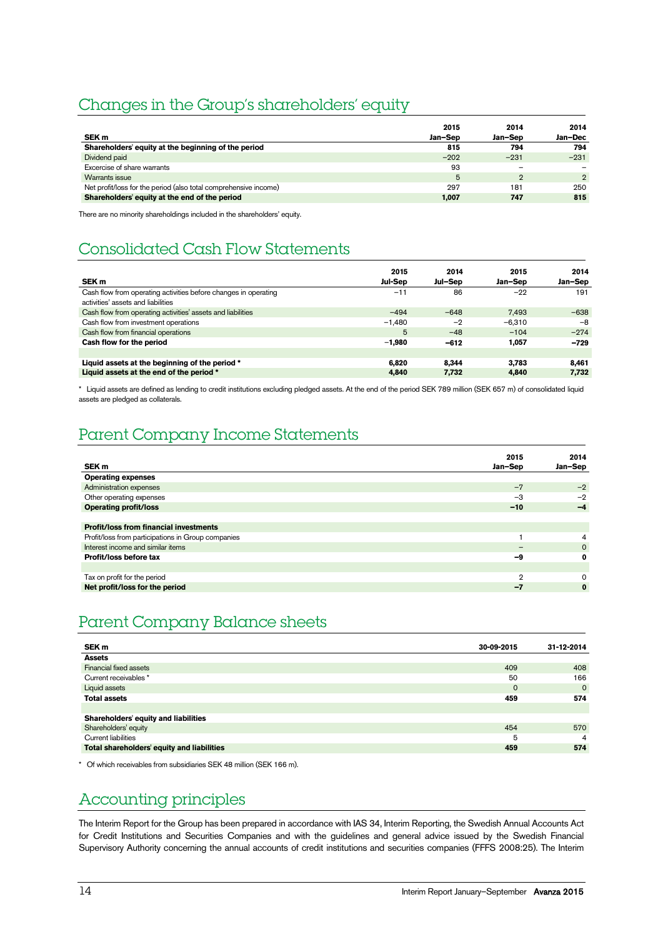# Changes in the Group's shareholders' equity

|                                                                  | 2015    | 2014    | 2014           |
|------------------------------------------------------------------|---------|---------|----------------|
| SEK <sub>m</sub>                                                 | Jan-Sep | Jan-Sep | Jan-Dec        |
| Shareholders' equity at the beginning of the period              | 815     | 794     | 794            |
| Dividend paid                                                    | $-202$  | $-231$  | $-231$         |
| Excercise of share warrants                                      | 93      |         |                |
| Warrants issue                                                   | 5       | 2       | $\overline{2}$ |
| Net profit/loss for the period (also total comprehensive income) | 297     | 181     | 250            |
| Shareholders' equity at the end of the period                    | 1,007   | 747     | 815            |

There are no minority shareholdings included in the shareholders' equity.

# Consolidated Cash Flow Statements

| SEK <sub>m</sub>                                                                                      | 2015<br><b>Jul-Sep</b> | 2014<br>Jul-Sep | 2015<br>Jan-Sep | 2014<br>Jan-Sep |
|-------------------------------------------------------------------------------------------------------|------------------------|-----------------|-----------------|-----------------|
| Cash flow from operating activities before changes in operating<br>activities' assets and liabilities | $-11$                  | 86              | $-22$           | 191             |
| Cash flow from operating activities' assets and liabilities                                           | $-494$                 | $-648$          | 7.493           | $-638$          |
| Cash flow from investment operations                                                                  | $-1.480$               | $-2$            | $-6.310$        | $-8$            |
| Cash flow from financial operations                                                                   | 5                      | $-48$           | $-104$          | $-274$          |
| Cash flow for the period                                                                              | $-1.980$               | $-612$          | 1.057           | $-729$          |
|                                                                                                       |                        |                 |                 |                 |
| Liquid assets at the beginning of the period *                                                        | 6.820                  | 8.344           | 3.783           | 8.461           |
| Liquid assets at the end of the period *                                                              | 4.840                  | 7,732           | 4.840           | 7.732           |

\* Liquid assets are defined as lending to credit institutions excluding pledged assets. At the end of the period SEK 789 million (SEK 657 m) of consolidated liquid assets are pledged as collaterals.

# Parent Company Income Statements

| SEK <sub>m</sub>                                   | 2015<br>Jan-Sep          | 2014<br>Jan-Sep |
|----------------------------------------------------|--------------------------|-----------------|
| <b>Operating expenses</b>                          |                          |                 |
| Administration expenses                            | $-7$                     | $-2$            |
| Other operating expenses                           | $-3$                     | $-2$            |
| <b>Operating profit/loss</b>                       | $-10$                    | -4              |
|                                                    |                          |                 |
| <b>Profit/loss from financial investments</b>      |                          |                 |
| Profit/loss from participations in Group companies |                          | 4               |
| Interest income and similar items                  | $\overline{\phantom{0}}$ | $\mathbf 0$     |
| Profit/loss before tax                             | -9                       | 0               |
|                                                    |                          |                 |
| Tax on profit for the period                       | $\mathcal{D}$            | $\Omega$        |
| Net profit/loss for the period                     | -7                       | $\bf{0}$        |

# Parent Company Balance sheets

| SEK m                                      | 30-09-2015 | 31-12-2014 |
|--------------------------------------------|------------|------------|
| <b>Assets</b>                              |            |            |
| Financial fixed assets                     | 409        | 408        |
| Current receivables *                      | 50         | 166        |
| Liquid assets                              | $\Omega$   | $\Omega$   |
| <b>Total assets</b>                        | 459        | 574        |
|                                            |            |            |
| Shareholders' equity and liabilities       |            |            |
| Shareholders' equity                       | 454        | 570        |
| <b>Current liabilities</b>                 | 5          | 4          |
| Total shareholders' equity and liabilities | 459        | 574        |

\* Of which receivables from subsidiaries SEK 48 million (SEK 166 m).

# Accounting principles

The Interim Report for the Group has been prepared in accordance with IAS 34, Interim Reporting, the Swedish Annual Accounts Act for Credit Institutions and Securities Companies and with the guidelines and general advice issued by the Swedish Financial Supervisory Authority concerning the annual accounts of credit institutions and securities companies (FFFS 2008:25). The Interim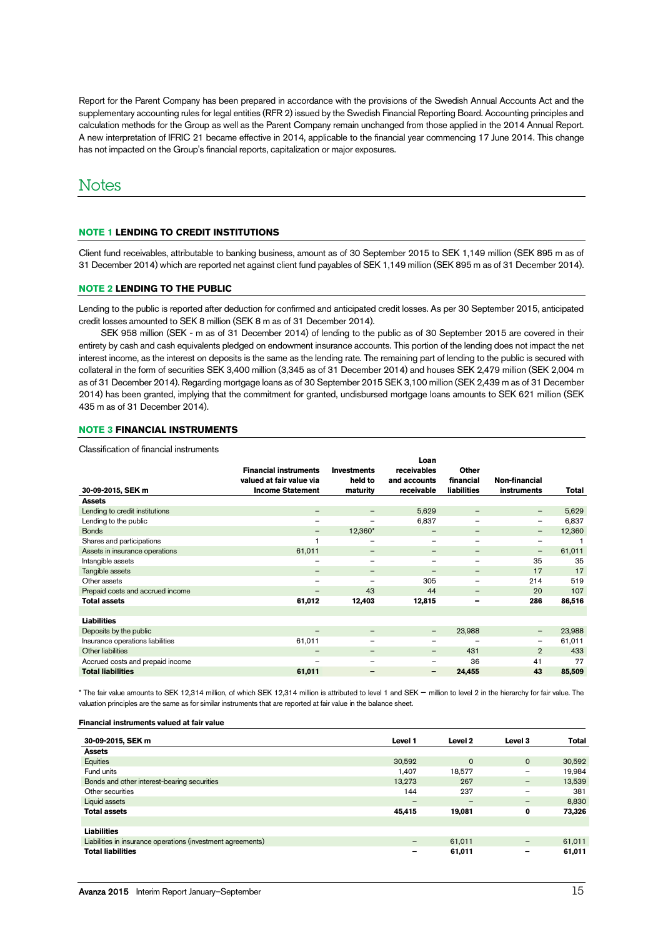Report for the Parent Company has been prepared in accordance with the provisions of the Swedish Annual Accounts Act and the supplementary accounting rules for legal entities (RFR 2) issued by the Swedish Financial Reporting Board. Accounting principles and calculation methods for the Group as well as the Parent Company remain unchanged from those applied in the 2014 Annual Report. A new interpretation of IFRIC 21 became effective in 2014, applicable to the financial year commencing 17 June 2014. This change has not impacted on the Group's financial reports, capitalization or major exposures.

# **Notes**

# **NOTE 1 LENDING TO CREDIT INSTITUTIONS**

Client fund receivables, attributable to banking business, amount as of 30 September 2015 to SEK 1,149 million (SEK 895 m as of 31 December 2014) which are reported net against client fund payables of SEK 1,149 million (SEK 895 m as of 31 December 2014).

# **NOTE 2 LENDING TO THE PUBLIC**

Lending to the public is reported after deduction for confirmed and anticipated credit losses. As per 30 September 2015, anticipated credit losses amounted to SEK 8 million (SEK 8 m as of 31 December 2014).

SEK 958 million (SEK - m as of 31 December 2014) of lending to the public as of 30 September 2015 are covered in their entirety by cash and cash equivalents pledged on endowment insurance accounts. This portion of the lending does not impact the net interest income, as the interest on deposits is the same as the lending rate. The remaining part of lending to the public is secured with collateral in the form of securities SEK 3,400 million (3,345 as of 31 December 2014) and houses SEK 2,479 million (SEK 2,004 m as of 31 December 2014). Regarding mortgage loans as of 30 September 2015 SEK 3,100 million (SEK 2,439 m as of 31 December 2014) has been granted, implying that the commitment for granted, undisbursed mortgage loans amounts to SEK 621 million (SEK 435 m as of 31 December 2014).

# **NOTE 3 FINANCIAL INSTRUMENTS**

Classification of financial instruments

|                                  |                              |                    | Loan                     |                          |                   |        |
|----------------------------------|------------------------------|--------------------|--------------------------|--------------------------|-------------------|--------|
|                                  | <b>Financial instruments</b> | <b>Investments</b> | receivables              | <b>Other</b>             |                   |        |
|                                  | valued at fair value via     | held to            | and accounts             | financial                | Non-financial     |        |
| 30-09-2015, SEK m                | <b>Income Statement</b>      | maturity           | receivable               | <b>liabilities</b>       | instruments       | Total  |
| <b>Assets</b>                    |                              |                    |                          |                          |                   |        |
| Lending to credit institutions   | $\qquad \qquad -$            | $\qquad \qquad -$  | 5,629                    | $\overline{\phantom{m}}$ | -                 | 5,629  |
| Lending to the public            | $\overline{\phantom{m}}$     | $\qquad \qquad$    | 6,837                    | $\overline{\phantom{m}}$ | $\qquad \qquad -$ | 6,837  |
| <b>Bonds</b>                     | $\qquad \qquad$              | 12,360*            | -                        | $\overline{\phantom{m}}$ | $\qquad \qquad -$ | 12,360 |
| Shares and participations        |                              | $\qquad \qquad$    | $\overline{\phantom{0}}$ | $\overline{\phantom{m}}$ | $\qquad \qquad -$ |        |
| Assets in insurance operations   | 61,011                       | $\qquad \qquad -$  | —                        |                          | $\qquad \qquad -$ | 61,011 |
| Intangible assets                |                              | $\qquad \qquad$    | -                        |                          | 35                | 35     |
| Tangible assets                  | $\qquad \qquad -$            | $\qquad \qquad -$  | -                        | $\overline{\phantom{m}}$ | 17                | 17     |
| Other assets                     | $\overline{\phantom{m}}$     |                    | 305                      |                          | 214               | 519    |
| Prepaid costs and accrued income |                              | 43                 | 44                       | $\overline{\phantom{m}}$ | 20                | 107    |
| <b>Total assets</b>              | 61,012                       | 12,403             | 12,815                   | -                        | 286               | 86,516 |
|                                  |                              |                    |                          |                          |                   |        |
| <b>Liabilities</b>               |                              |                    |                          |                          |                   |        |
| Deposits by the public           |                              | $\qquad \qquad -$  | $\qquad \qquad -$        | 23,988                   | $\qquad \qquad -$ | 23,988 |
| Insurance operations liabilities | 61,011                       | $\qquad \qquad$    | -                        |                          | $\qquad \qquad -$ | 61,011 |
| Other liabilities                | $\qquad \qquad$              | $\qquad \qquad -$  | -                        | 431                      | $\overline{2}$    | 433    |
| Accrued costs and prepaid income |                              |                    | -                        | 36                       | 41                | 77     |
| <b>Total liabilities</b>         | 61,011                       | -                  | -                        | 24,455                   | 43                | 85,509 |

\* The fair value amounts to SEK 12,314 million, of which SEK 12,314 million is attributed to level 1 and SEK – million to level 2 in the hierarchy for fair value. The valuation principles are the same as for similar instruments that are reported at fair value in the balance sheet.

#### **Financial instruments valued at fair value**

| 30-09-2015, SEK m                                           | Level 1                  | Level 2     | Level 3                      | <b>Total</b> |
|-------------------------------------------------------------|--------------------------|-------------|------------------------------|--------------|
| <b>Assets</b>                                               |                          |             |                              |              |
| Equities                                                    | 30,592                   | $\mathbf 0$ | $\mathbf{0}$                 | 30,592       |
| Fund units                                                  | 1.407                    | 18,577      | -                            | 19,984       |
| Bonds and other interest-bearing securities                 | 13.273                   | 267         | -                            | 13,539       |
| Other securities                                            | 144                      | 237         | $\qquad \qquad \blacksquare$ | 381          |
| Liquid assets                                               | $\qquad \qquad$          | -           | -                            | 8.830        |
| <b>Total assets</b>                                         | 45,415                   | 19,081      | 0                            | 73,326       |
|                                                             |                          |             |                              |              |
| <b>Liabilities</b>                                          |                          |             |                              |              |
| Liabilities in insurance operations (investment agreements) | $\overline{\phantom{m}}$ | 61,011      | -                            | 61,011       |
| <b>Total liabilities</b>                                    | -                        | 61,011      | -                            | 61,011       |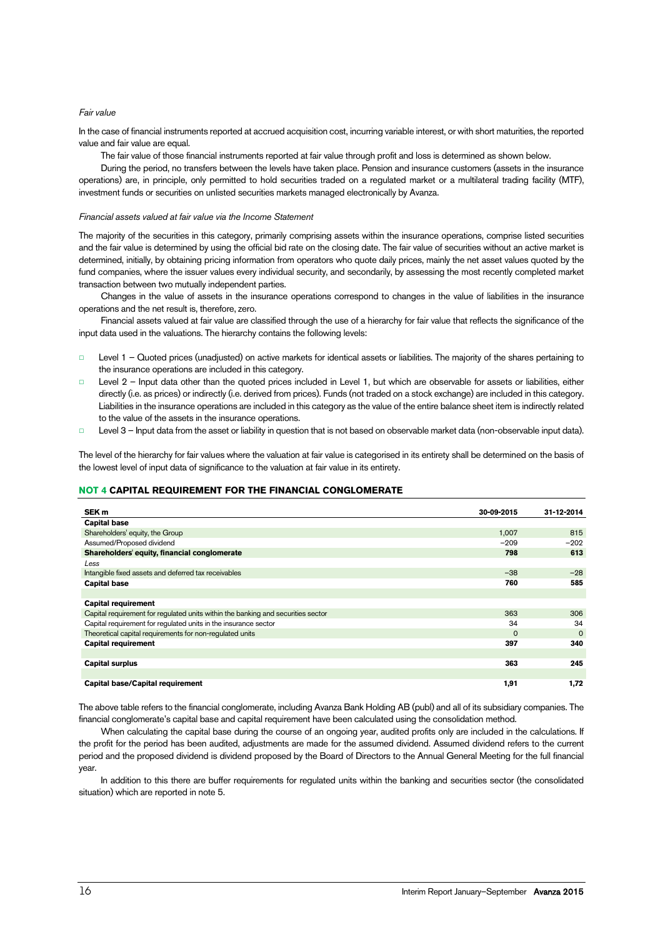### *Fair value*

In the case of financial instruments reported at accrued acquisition cost, incurring variable interest, or with short maturities, the reported value and fair value are equal.

The fair value of those financial instruments reported at fair value through profit and loss is determined as shown below.

During the period, no transfers between the levels have taken place. Pension and insurance customers (assets in the insurance operations) are, in principle, only permitted to hold securities traded on a regulated market or a multilateral trading facility (MTF), investment funds or securities on unlisted securities markets managed electronically by Avanza.

### *Financial assets valued at fair value via the Income Statement*

The majority of the securities in this category, primarily comprising assets within the insurance operations, comprise listed securities and the fair value is determined by using the official bid rate on the closing date. The fair value of securities without an active market is determined, initially, by obtaining pricing information from operators who quote daily prices, mainly the net asset values quoted by the fund companies, where the issuer values every individual security, and secondarily, by assessing the most recently completed market transaction between two mutually independent parties.

Changes in the value of assets in the insurance operations correspond to changes in the value of liabilities in the insurance operations and the net result is, therefore, zero.

Financial assets valued at fair value are classified through the use of a hierarchy for fair value that reflects the significance of the input data used in the valuations. The hierarchy contains the following levels:

- □ Level 1 Quoted prices (unadjusted) on active markets for identical assets or liabilities. The majority of the shares pertaining to the insurance operations are included in this category.
- □ Level 2 Input data other than the quoted prices included in Level 1, but which are observable for assets or liabilities, either directly (i.e. as prices) or indirectly (i.e. derived from prices). Funds (not traded on a stock exchange) are included in this category. Liabilities in the insurance operations are included in this category as the value of the entire balance sheet item is indirectly related to the value of the assets in the insurance operations.
- Level 3 Input data from the asset or liability in question that is not based on observable market data (non-observable input data).

The level of the hierarchy for fair values where the valuation at fair value is categorised in its entirety shall be determined on the basis of the lowest level of input data of significance to the valuation at fair value in its entirety.

# <span id="page-15-0"></span>**NOT 4 CAPITAL REQUIREMENT FOR THE FINANCIAL CONGLOMERATE**

| SEK <sub>m</sub>                                                                 | 30-09-2015 | 31-12-2014 |
|----------------------------------------------------------------------------------|------------|------------|
| <b>Capital base</b>                                                              |            |            |
| Shareholders' equity, the Group                                                  | 1,007      | 815        |
| Assumed/Proposed dividend                                                        | $-209$     | $-202$     |
| Shareholders' equity, financial conglomerate                                     | 798        | 613        |
| Less                                                                             |            |            |
| Intangible fixed assets and deferred tax receivables                             | $-38$      | $-28$      |
| <b>Capital base</b>                                                              | 760        | 585        |
|                                                                                  |            |            |
| <b>Capital requirement</b>                                                       |            |            |
| Capital requirement for regulated units within the banking and securities sector | 363        | 306        |
| Capital requirement for requlated units in the insurance sector                  | 34         | 34         |
| Theoretical capital requirements for non-requlated units                         | $\Omega$   | $\Omega$   |
| <b>Capital requirement</b>                                                       | 397        | 340        |
|                                                                                  |            |            |
| <b>Capital surplus</b>                                                           | 363        | 245        |
|                                                                                  |            |            |
| Capital base/Capital requirement                                                 | 1,91       | 1,72       |

The above table refers to the financial conglomerate, including Avanza Bank Holding AB (publ) and all of its subsidiary companies. The financial conglomerate's capital base and capital requirement have been calculated using the consolidation method.

When calculating the capital base during the course of an ongoing year, audited profits only are included in the calculations. If the profit for the period has been audited, adjustments are made for the assumed dividend. Assumed dividend refers to the current period and the proposed dividend is dividend proposed by the Board of Directors to the Annual General Meeting for the full financial year.

In addition to this there are buffer requirements for regulated units within the banking and securities sector (the consolidated situation) which are reported in note 5.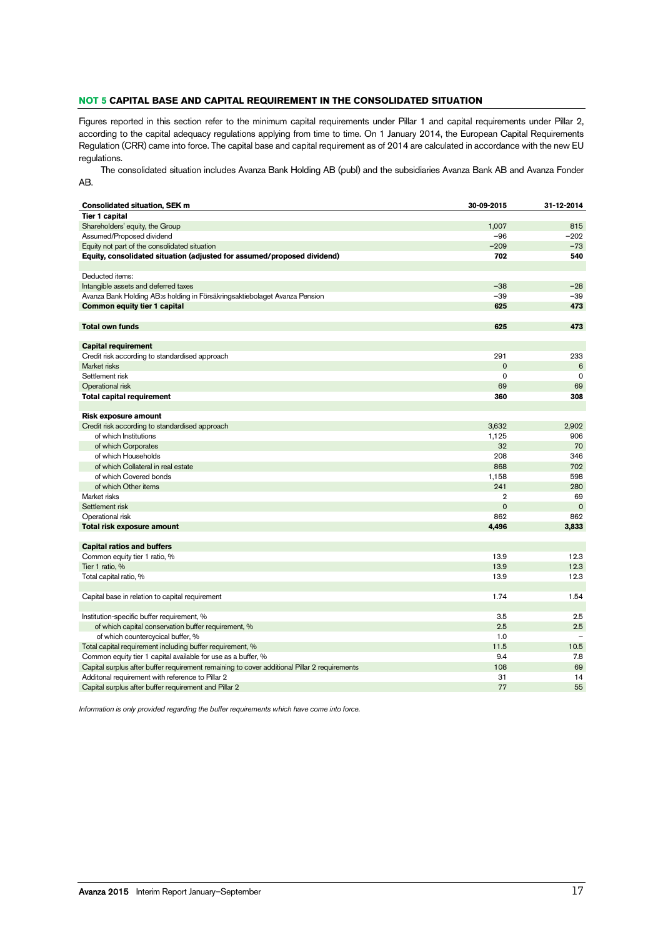# **NOT 5 CAPITAL BASE AND CAPITAL REQUIREMENT IN THE CONSOLIDATED SITUATION**

Figures reported in this section refer to the minimum capital requirements under Pillar 1 and capital requirements under Pillar 2, according to the capital adequacy regulations applying from time to time. On 1 January 2014, the European Capital Requirements Regulation (CRR) came into force. The capital base and capital requirement as of 2014 are calculated in accordance with the new EU regulations.

The consolidated situation includes Avanza Bank Holding AB (publ) and the subsidiaries Avanza Bank AB and Avanza Fonder AB.

| <b>Consolidated situation, SEK m</b>                                                         | 30-09-2015     | 31-12-2014               |
|----------------------------------------------------------------------------------------------|----------------|--------------------------|
| <b>Tier 1 capital</b>                                                                        |                |                          |
| Shareholders' equity, the Group                                                              | 1,007          | 815                      |
| Assumed/Proposed dividend                                                                    | $-96$          | $-202$                   |
| Equity not part of the consolidated situation                                                | $-209$         | $-73$                    |
| Equity, consolidated situation (adjusted for assumed/proposed dividend)                      | 702            | 540                      |
|                                                                                              |                |                          |
| Deducted items:                                                                              |                |                          |
| Intangible assets and deferred taxes                                                         | $-38$          | $-28$                    |
| Avanza Bank Holding AB:s holding in Försäkringsaktiebolaget Avanza Pension                   | $-39$          | $-39$                    |
| <b>Common equity tier 1 capital</b>                                                          | 625            | 473                      |
|                                                                                              |                |                          |
| <b>Total own funds</b>                                                                       | 625            | 473                      |
|                                                                                              |                |                          |
| <b>Capital requirement</b>                                                                   |                |                          |
| Credit risk according to standardised approach                                               | 291            | 233                      |
| Market risks                                                                                 | $\mathbf 0$    | 6                        |
| Settlement risk                                                                              | $\mathbf 0$    | $\mathbf 0$              |
| Operational risk                                                                             | 69             | 69                       |
| <b>Total capital requirement</b>                                                             | 360            | 308                      |
|                                                                                              |                |                          |
| <b>Risk exposure amount</b>                                                                  |                |                          |
| Credit risk according to standardised approach                                               | 3,632          | 2,902                    |
| of which Institutions                                                                        | 1,125          | 906                      |
| of which Corporates                                                                          | 32             | 70                       |
| of which Households                                                                          | 208            | 346                      |
| of which Collateral in real estate                                                           | 868            | 702                      |
| of which Covered bonds                                                                       | 1,158          | 598                      |
| of which Other items                                                                         | 241            | 280                      |
| Market risks                                                                                 | $\overline{2}$ | 69                       |
| Settlement risk                                                                              | $\mathbf 0$    | $\mathbf 0$              |
| Operational risk                                                                             | 862            | 862                      |
| Total risk exposure amount                                                                   | 4,496          | 3,833                    |
|                                                                                              |                |                          |
| <b>Capital ratios and buffers</b>                                                            |                |                          |
| Common equity tier 1 ratio, %                                                                | 13.9           | 12.3                     |
| Tier 1 ratio, %                                                                              | 13.9           | 12.3                     |
| Total capital ratio, %                                                                       | 13.9           | 12.3                     |
|                                                                                              |                |                          |
| Capital base in relation to capital requirement                                              | 1.74           | 1.54                     |
|                                                                                              |                |                          |
| Institution-specific buffer requirement, %                                                   | 3.5            | 2.5                      |
| of which capital conservation buffer requirement, %                                          | 2.5            | 2.5                      |
| of which countercycical buffer, %                                                            | 1.0            | $\overline{\phantom{0}}$ |
| Total capital requirement including buffer requirement, %                                    | 11.5           | 10.5                     |
| Common equity tier 1 capital available for use as a buffer, %                                | 9.4            | 7.8                      |
| Capital surplus after buffer requirement remaining to cover additional Pillar 2 requirements | 108            | 69                       |
| Additonal requirement with reference to Pillar 2                                             | 31             | 14                       |
| Capital surplus after buffer requirement and Pillar 2                                        | 77             | 55                       |
|                                                                                              |                |                          |

*Information is only provided regarding the buffer requirements which have come into force.*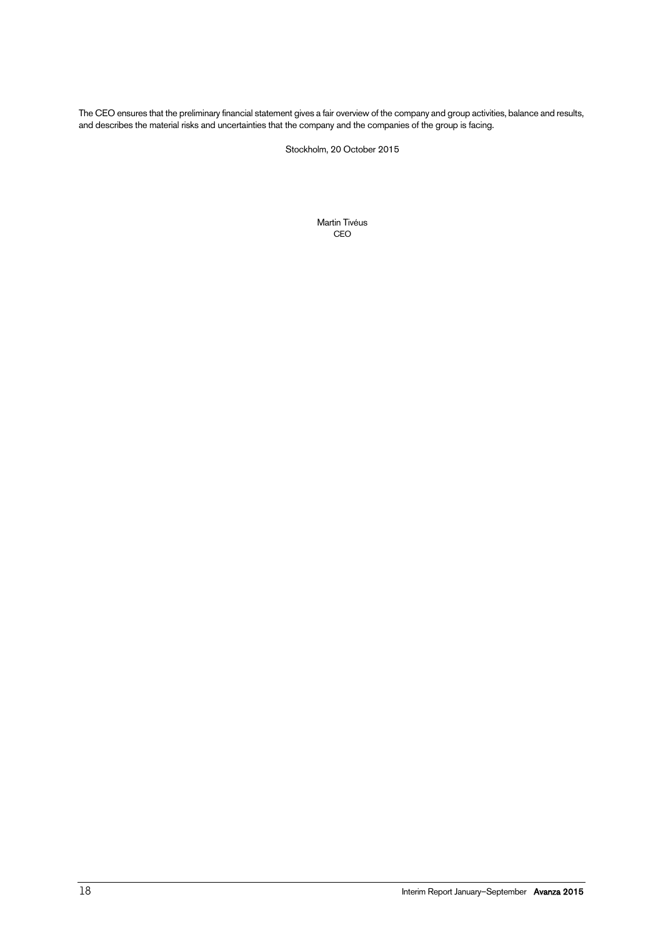The CEO ensures that the preliminary financial statement gives a fair overview of the company and group activities, balance and results, and describes the material risks and uncertainties that the company and the companies of the group is facing.

Stockholm, 20 October 2015

Martin Tivéus CEO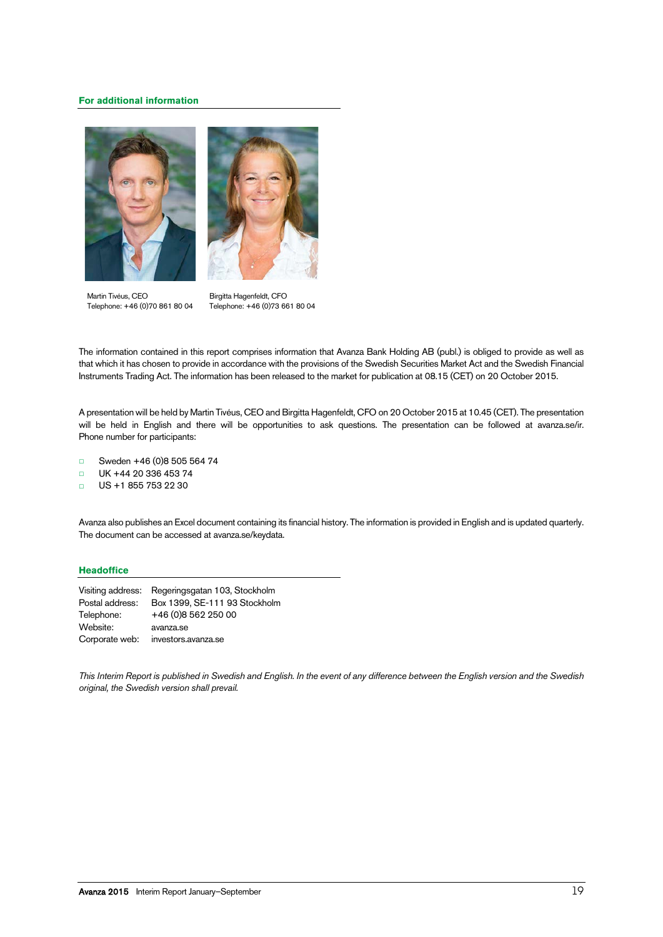# **For additional information**





Martin Tivéus, CEO Telephone: +46 (0)70 861 80 04

Birgitta Hagenfeldt, CFO Telephone: +46 (0)73 661 80 04

The information contained in this report comprises information that Avanza Bank Holding AB (publ.) is obliged to provide as well as that which it has chosen to provide in accordance with the provisions of the Swedish Securities Market Act and the Swedish Financial Instruments Trading Act. The information has been released to the market for publication at 08.15 (CET) on 20 October 2015.

A presentation will be held by Martin Tivéus, CEO and Birgitta Hagenfeldt, CFO on 20 October 2015 at 10.45 (CET). The presentation will be held in English and there will be opportunities to ask questions. The presentation can be followed at avanza.se/ir. Phone number for participants:

- □ Sweden +46 (0)8 505 564 74
- □ UK +44 20 336 453 74
- $\Box$  US +1 855 753 22 30

Avanza also publishes an Excel document containing its financial history. The information is provided in English and is updated quarterly. The document can be accessed at avanza.se/keydata.

# **Headoffice**

| Visiting address: | Regeringsgatan 103, Stockholm |
|-------------------|-------------------------------|
| Postal address:   | Box 1399, SE-111 93 Stockholm |
| Telephone:        | +46 (0) 8 5 6 2 2 5 0 0 0     |
| Website:          | avanza.se                     |
| Corporate web:    | investors.avanza.se           |

*This Interim Report is published in Swedish and English. In the event of any difference between the English version and the Swedish original, the Swedish version shall prevail.*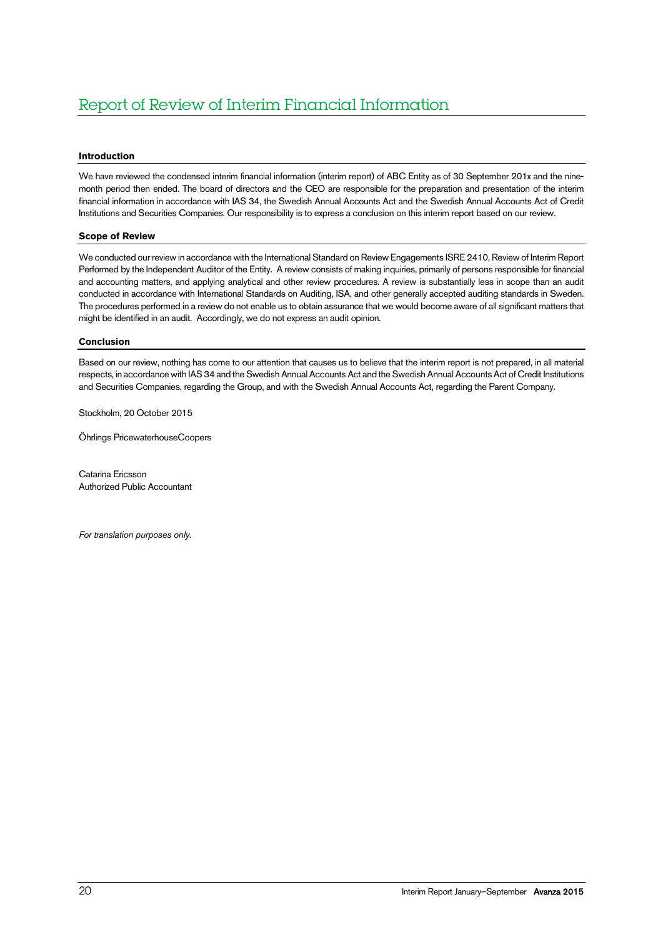# **Introduction**

We have reviewed the condensed interim financial information (interim report) of ABC Entity as of 30 September 201x and the ninemonth period then ended. The board of directors and the CEO are responsible for the preparation and presentation of the interim financial information in accordance with IAS 34, the Swedish Annual Accounts Act and the Swedish Annual Accounts Act of Credit Institutions and Securities Companies. Our responsibility is to express a conclusion on this interim report based on our review.

# **Scope of Review**

We conducted our review in accordance with the International Standard on Review Engagements ISRE 2410, Review of Interim Report Performed by the Independent Auditor of the Entity. A review consists of making inquiries, primarily of persons responsible for financial and accounting matters, and applying analytical and other review procedures. A review is substantially less in scope than an audit conducted in accordance with International Standards on Auditing, ISA, and other generally accepted auditing standards in Sweden. The procedures performed in a review do not enable us to obtain assurance that we would become aware of all significant matters that might be identified in an audit. Accordingly, we do not express an audit opinion.

### **Conclusion**

Based on our review, nothing has come to our attention that causes us to believe that the interim report is not prepared, in all material respects, in accordance with IAS 34 and the Swedish Annual Accounts Act and the Swedish Annual Accounts Act of Credit Institutions and Securities Companies, regarding the Group, and with the Swedish Annual Accounts Act, regarding the Parent Company.

Stockholm, 20 October 2015

Öhrlings PricewaterhouseCoopers

Catarina Ericsson Authorized Public Accountant

*For translation purposes only.*